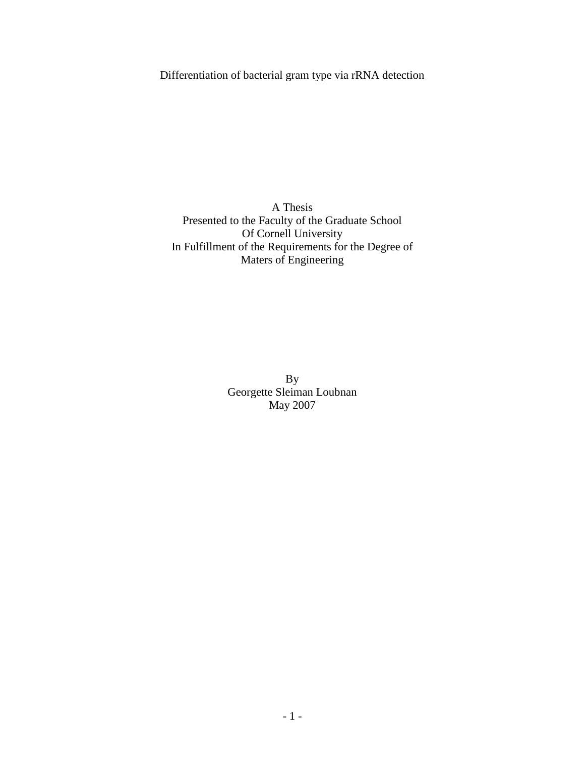Differentiation of bacterial gram type via rRNA detection

A Thesis Presented to the Faculty of the Graduate School Of Cornell University In Fulfillment of the Requirements for the Degree of Maters of Engineering

> By Georgette Sleiman Loubnan May 2007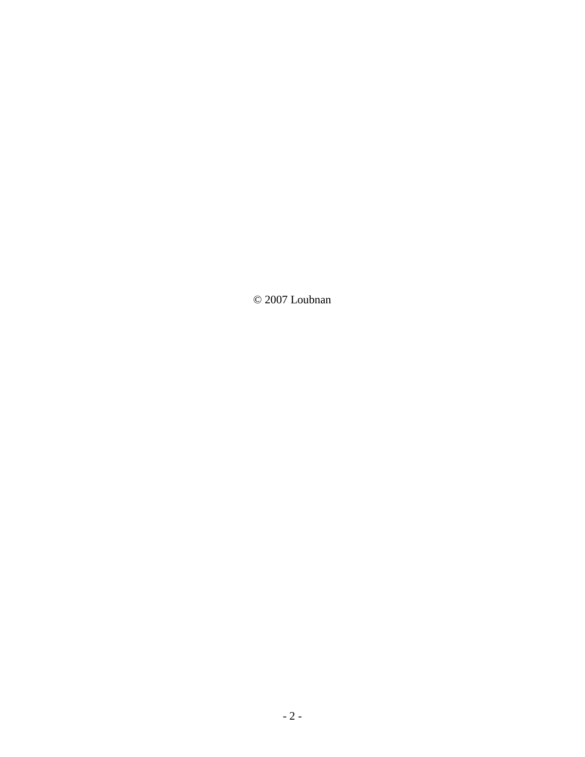© 2007 Loubnan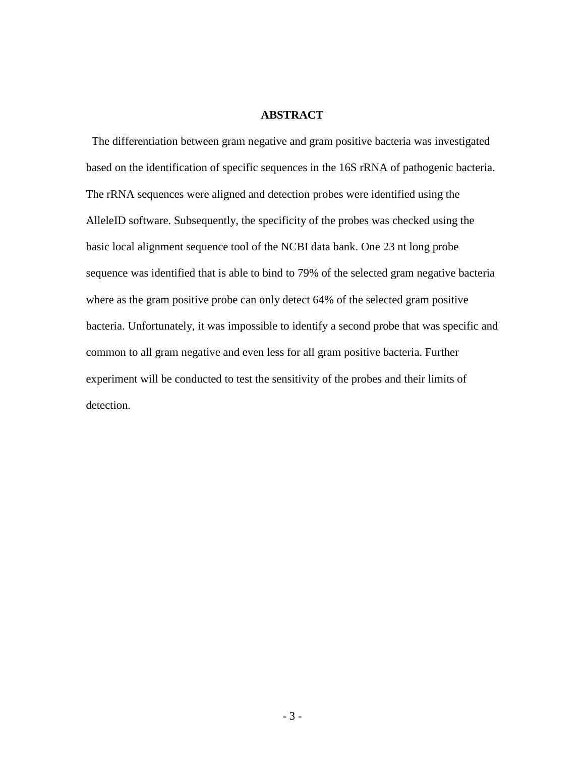#### **ABSTRACT**

 The differentiation between gram negative and gram positive bacteria was investigated based on the identification of specific sequences in the 16S rRNA of pathogenic bacteria. The rRNA sequences were aligned and detection probes were identified using the AlleleID software. Subsequently, the specificity of the probes was checked using the basic local alignment sequence tool of the NCBI data bank. One 23 nt long probe sequence was identified that is able to bind to 79% of the selected gram negative bacteria where as the gram positive probe can only detect 64% of the selected gram positive bacteria. Unfortunately, it was impossible to identify a second probe that was specific and common to all gram negative and even less for all gram positive bacteria. Further experiment will be conducted to test the sensitivity of the probes and their limits of detection.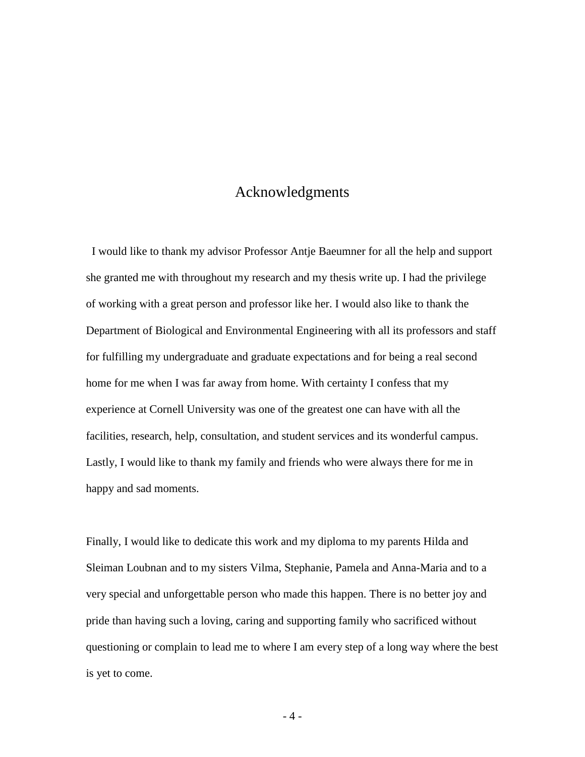## Acknowledgments

 I would like to thank my advisor Professor Antje Baeumner for all the help and support she granted me with throughout my research and my thesis write up. I had the privilege of working with a great person and professor like her. I would also like to thank the Department of Biological and Environmental Engineering with all its professors and staff for fulfilling my undergraduate and graduate expectations and for being a real second home for me when I was far away from home. With certainty I confess that my experience at Cornell University was one of the greatest one can have with all the facilities, research, help, consultation, and student services and its wonderful campus. Lastly, I would like to thank my family and friends who were always there for me in happy and sad moments.

Finally, I would like to dedicate this work and my diploma to my parents Hilda and Sleiman Loubnan and to my sisters Vilma, Stephanie, Pamela and Anna-Maria and to a very special and unforgettable person who made this happen. There is no better joy and pride than having such a loving, caring and supporting family who sacrificed without questioning or complain to lead me to where I am every step of a long way where the best is yet to come.

- 4 -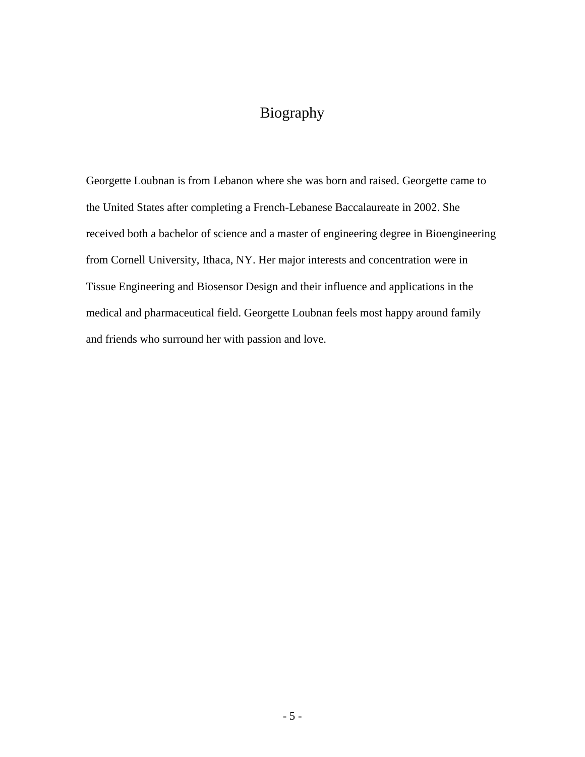# Biography

Georgette Loubnan is from Lebanon where she was born and raised. Georgette came to the United States after completing a French-Lebanese Baccalaureate in 2002. She received both a bachelor of science and a master of engineering degree in Bioengineering from Cornell University, Ithaca, NY. Her major interests and concentration were in Tissue Engineering and Biosensor Design and their influence and applications in the medical and pharmaceutical field. Georgette Loubnan feels most happy around family and friends who surround her with passion and love.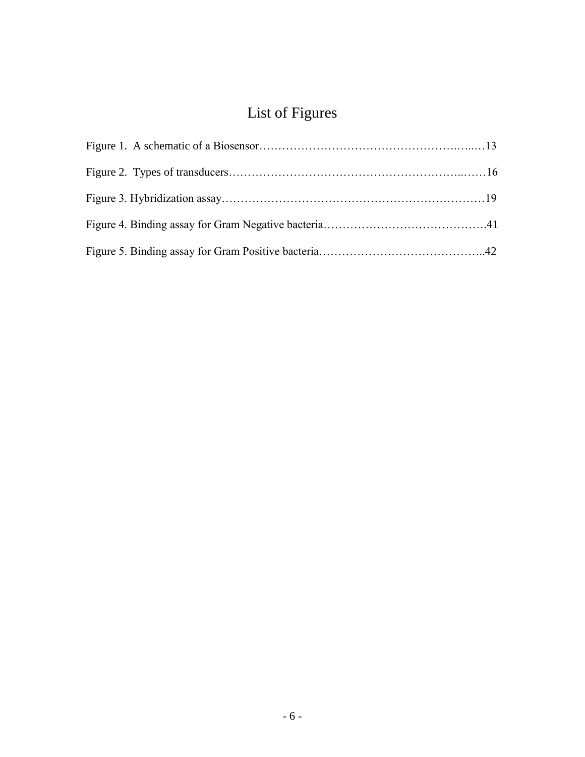# List of Figures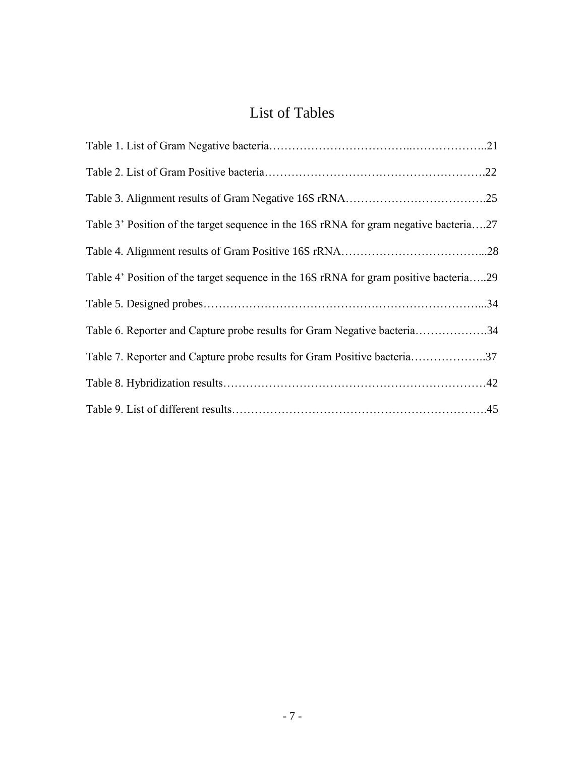# List of Tables

| Table 3' Position of the target sequence in the 16S rRNA for gram negative bacteria27 |  |
|---------------------------------------------------------------------------------------|--|
|                                                                                       |  |
| Table 4' Position of the target sequence in the 16S rRNA for gram positive bacteria29 |  |
|                                                                                       |  |
| Table 6. Reporter and Capture probe results for Gram Negative bacteria34              |  |
| Table 7. Reporter and Capture probe results for Gram Positive bacteria37              |  |
|                                                                                       |  |
|                                                                                       |  |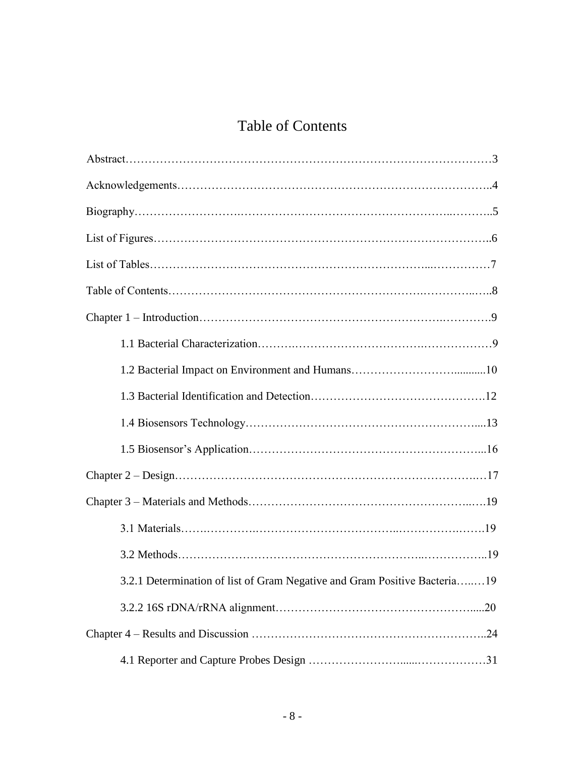# Table of Contents

| 3.2.1 Determination of list of Gram Negative and Gram Positive Bacteria19 |     |
|---------------------------------------------------------------------------|-----|
|                                                                           | .20 |
|                                                                           |     |
|                                                                           |     |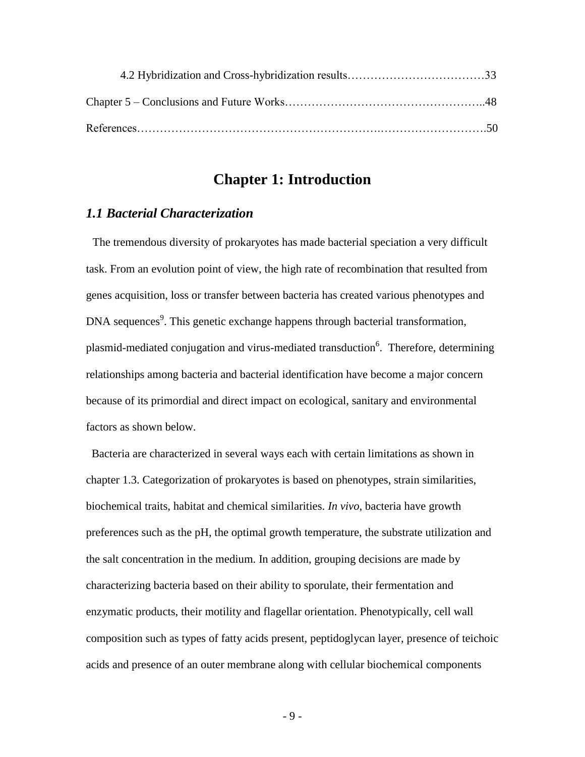## **Chapter 1: Introduction**

## *1.1 Bacterial Characterization*

The tremendous diversity of prokaryotes has made bacterial speciation a very difficult task. From an evolution point of view, the high rate of recombination that resulted from genes acquisition, loss or transfer between bacteria has created various phenotypes and DNA sequences<sup>9</sup>. This genetic exchange happens through bacterial transformation, plasmid-mediated conjugation and virus-mediated transduction<sup>6</sup>. Therefore, determining relationships among bacteria and bacterial identification have become a major concern because of its primordial and direct impact on ecological, sanitary and environmental factors as shown below.

 Bacteria are characterized in several ways each with certain limitations as shown in chapter 1.3. Categorization of prokaryotes is based on phenotypes, strain similarities, biochemical traits, habitat and chemical similarities. *In vivo*, bacteria have growth preferences such as the pH, the optimal growth temperature, the substrate utilization and the salt concentration in the medium. In addition, grouping decisions are made by characterizing bacteria based on their ability to sporulate, their fermentation and enzymatic products, their motility and flagellar orientation. Phenotypically, cell wall composition such as types of fatty acids present, peptidoglycan layer, presence of teichoic acids and presence of an outer membrane along with cellular biochemical components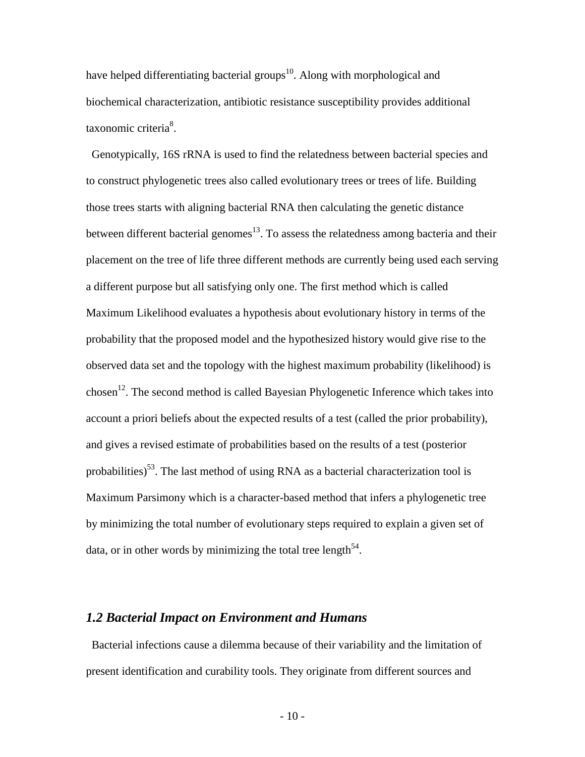have helped differentiating bacterial groups<sup>10</sup>. Along with morphological and biochemical characterization, antibiotic resistance susceptibility provides additional taxonomic criteria<sup>8</sup>.

 Genotypically, 16S rRNA is used to find the relatedness between bacterial species and to construct phylogenetic trees also called evolutionary trees or trees of life. Building those trees starts with aligning bacterial RNA then calculating the genetic distance between different bacterial genomes<sup>13</sup>. To assess the relatedness among bacteria and their placement on the tree of life three different methods are currently being used each serving a different purpose but all satisfying only one. The first method which is called Maximum Likelihood evaluates a hypothesis about evolutionary history in terms of the probability that the proposed model and the hypothesized history would give rise to the observed data set and the topology with the highest maximum probability (likelihood) is chosen<sup>12</sup>. The second method is called Bayesian Phylogenetic Inference which takes into account a priori beliefs about the expected results of a test (called the prior probability), and gives a revised estimate of probabilities based on the results of a test (posterior probabilities)<sup>53</sup>. The last method of using RNA as a bacterial characterization tool is Maximum Parsimony which is a character-based method that infers a phylogenetic tree by minimizing the total number of evolutionary steps required to explain a given set of data, or in other words by minimizing the total tree length<sup>54</sup>.

#### *1.2 Bacterial Impact on Environment and Humans*

 Bacterial infections cause a dilemma because of their variability and the limitation of present identification and curability tools. They originate from different sources and

- 10 -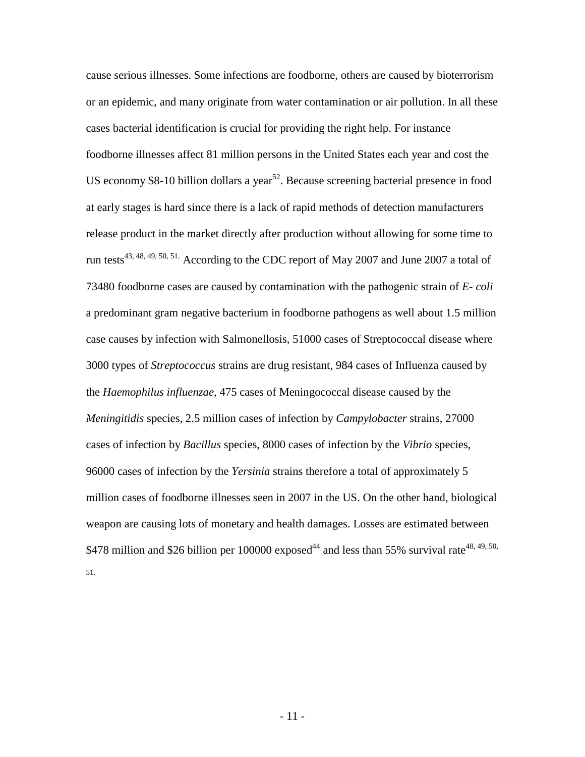cause serious illnesses. Some infections are foodborne, others are caused by bioterrorism or an epidemic, and many originate from water contamination or air pollution. In all these cases bacterial identification is crucial for providing the right help. For instance foodborne illnesses affect 81 million persons in the United States each year and cost the US economy \$8-10 billion dollars a year<sup>52</sup>. Because screening bacterial presence in food at early stages is hard since there is a lack of rapid methods of detection manufacturers release product in the market directly after production without allowing for some time to run tests<sup>43, 48, 49, 50, 51.</sup> According to the CDC report of May 2007 and June 2007 a total of 73480 foodborne cases are caused by contamination with the pathogenic strain of *E- coli* a predominant gram negative bacterium in foodborne pathogens as well about 1.5 million case causes by infection with Salmonellosis, 51000 cases of Streptococcal disease where 3000 types of *Streptococcus* strains are drug resistant, 984 cases of Influenza caused by the *Haemophilus influenzae*, 475 cases of Meningococcal disease caused by the *Meningitidis* species, 2.5 million cases of infection by *Campylobacter* strains, 27000 cases of infection by *Bacillus* species, 8000 cases of infection by the *Vibrio* species, 96000 cases of infection by the *Yersinia* strains therefore a total of approximately 5 million cases of foodborne illnesses seen in 2007 in the US. On the other hand, biological weapon are causing lots of monetary and health damages. Losses are estimated between \$478 million and \$26 billion per 100000 exposed<sup>44</sup> and less than 55% survival rate<sup>48, 49, 50,</sup> 51.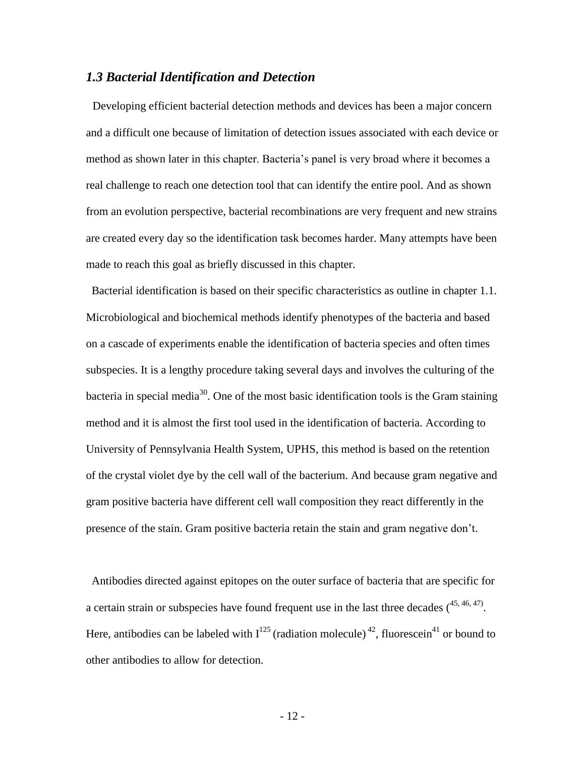#### *1.3 Bacterial Identification and Detection*

 Developing efficient bacterial detection methods and devices has been a major concern and a difficult one because of limitation of detection issues associated with each device or method as shown later in this chapter. Bacteria's panel is very broad where it becomes a real challenge to reach one detection tool that can identify the entire pool. And as shown from an evolution perspective, bacterial recombinations are very frequent and new strains are created every day so the identification task becomes harder. Many attempts have been made to reach this goal as briefly discussed in this chapter.

 Bacterial identification is based on their specific characteristics as outline in chapter 1.1. Microbiological and biochemical methods identify phenotypes of the bacteria and based on a cascade of experiments enable the identification of bacteria species and often times subspecies. It is a lengthy procedure taking several days and involves the culturing of the bacteria in special media<sup>30</sup>. One of the most basic identification tools is the Gram staining method and it is almost the first tool used in the identification of bacteria. According to University of Pennsylvania Health System, UPHS, this method is based on the retention of the crystal violet dye by the cell wall of the bacterium. And because gram negative and gram positive bacteria have different cell wall composition they react differently in the presence of the stain. Gram positive bacteria retain the stain and gram negative don't.

 Antibodies directed against epitopes on the outer surface of bacteria that are specific for a certain strain or subspecies have found frequent use in the last three decades  $(45, 46, 47)$ . Here, antibodies can be labeled with  $I^{125}$  (radiation molecule) <sup>42</sup>, fluorescein<sup>41</sup> or bound to other antibodies to allow for detection.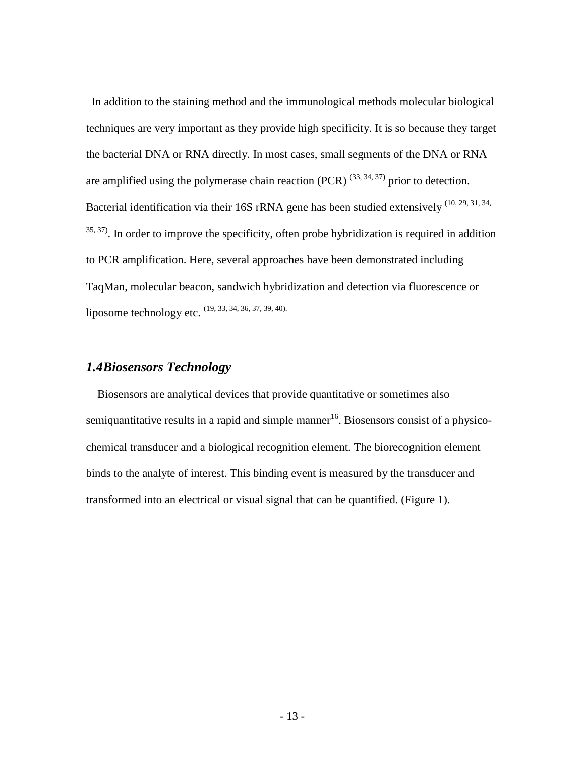In addition to the staining method and the immunological methods molecular biological techniques are very important as they provide high specificity. It is so because they target the bacterial DNA or RNA directly. In most cases, small segments of the DNA or RNA are amplified using the polymerase chain reaction (PCR)  $(33, 34, 37)$  prior to detection. Bacterial identification via their 16S rRNA gene has been studied extensively <sup>(10, 29, 31, 34,</sup>  $35, 37$ . In order to improve the specificity, often probe hybridization is required in addition to PCR amplification. Here, several approaches have been demonstrated including TaqMan, molecular beacon, sandwich hybridization and detection via fluorescence or liposome technology etc. (19, 33, 34, 36, 37, 39, 40).

## *1.4Biosensors Technology*

 Biosensors are analytical devices that provide quantitative or sometimes also semiquantitative results in a rapid and simple manner<sup>16</sup>. Biosensors consist of a physicochemical transducer and a biological recognition element. The biorecognition element binds to the analyte of interest. This binding event is measured by the transducer and transformed into an electrical or visual signal that can be quantified. (Figure 1).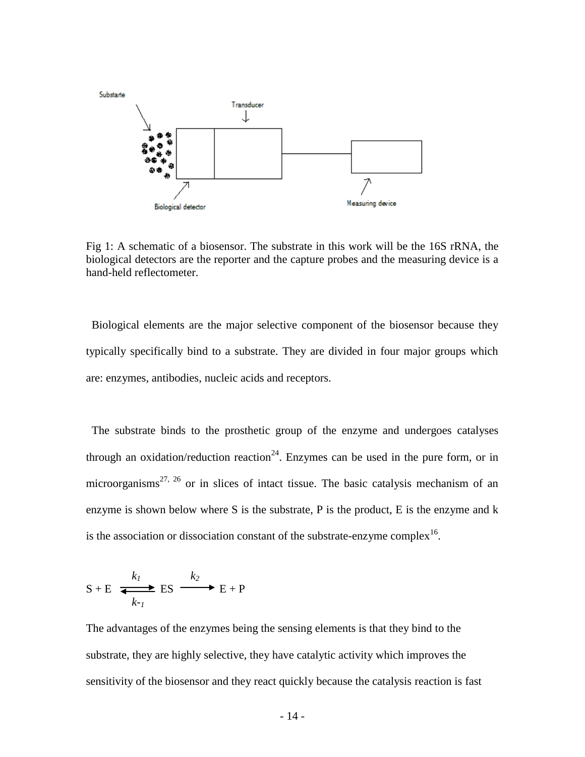

Fig 1: A schematic of a biosensor. The substrate in this work will be the 16S rRNA, the biological detectors are the reporter and the capture probes and the measuring device is a hand-held reflectometer.

 Biological elements are the major selective component of the biosensor because they typically specifically bind to a substrate. They are divided in four major groups which are: enzymes, antibodies, nucleic acids and receptors.

 The substrate binds to the prosthetic group of the enzyme and undergoes catalyses through an oxidation/reduction reaction<sup>24</sup>. Enzymes can be used in the pure form, or in microorganisms<sup>27, 26</sup> or in slices of intact tissue. The basic catalysis mechanism of an enzyme is shown below where S is the substrate, P is the product, E is the enzyme and k is the association or dissociation constant of the substrate-enzyme complex<sup>16</sup>.

$$
S + E \xrightarrow[k-1]{k_1} ES \xrightarrow[k-1]{k_2} E + P
$$

The advantages of the enzymes being the sensing elements is that they bind to the substrate, they are highly selective, they have catalytic activity which improves the sensitivity of the biosensor and they react quickly because the catalysis reaction is fast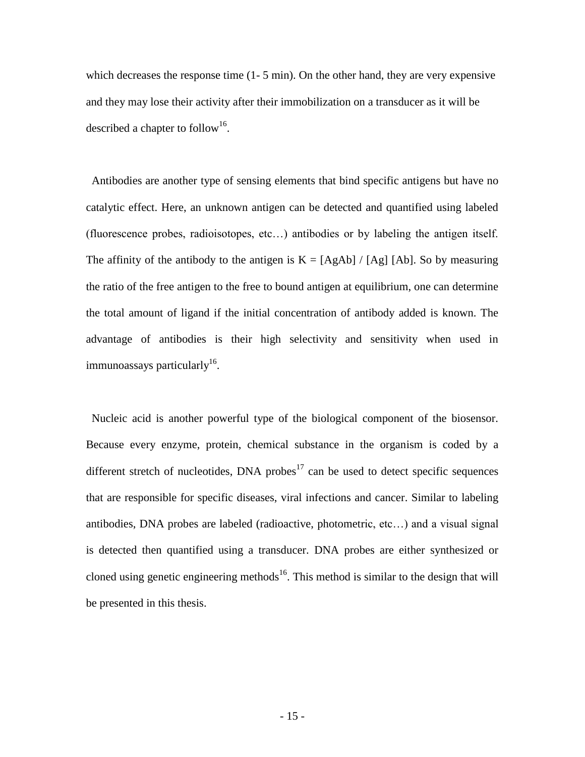which decreases the response time  $(1 - 5 \text{ min})$ . On the other hand, they are very expensive and they may lose their activity after their immobilization on a transducer as it will be described a chapter to follow<sup>16</sup>.

 Antibodies are another type of sensing elements that bind specific antigens but have no catalytic effect. Here, an unknown antigen can be detected and quantified using labeled (fluorescence probes, radioisotopes, etc…) antibodies or by labeling the antigen itself. The affinity of the antibody to the antigen is  $K = [AgAb] / [Ag] [Ab]$ . So by measuring the ratio of the free antigen to the free to bound antigen at equilibrium, one can determine the total amount of ligand if the initial concentration of antibody added is known. The advantage of antibodies is their high selectivity and sensitivity when used in immunoassays particularly $^{16}$ .

 Nucleic acid is another powerful type of the biological component of the biosensor. Because every enzyme, protein, chemical substance in the organism is coded by a different stretch of nucleotides, DNA probes $17$  can be used to detect specific sequences that are responsible for specific diseases, viral infections and cancer. Similar to labeling antibodies, DNA probes are labeled (radioactive, photometric, etc…) and a visual signal is detected then quantified using a transducer. DNA probes are either synthesized or cloned using genetic engineering methods<sup>16</sup>. This method is similar to the design that will be presented in this thesis.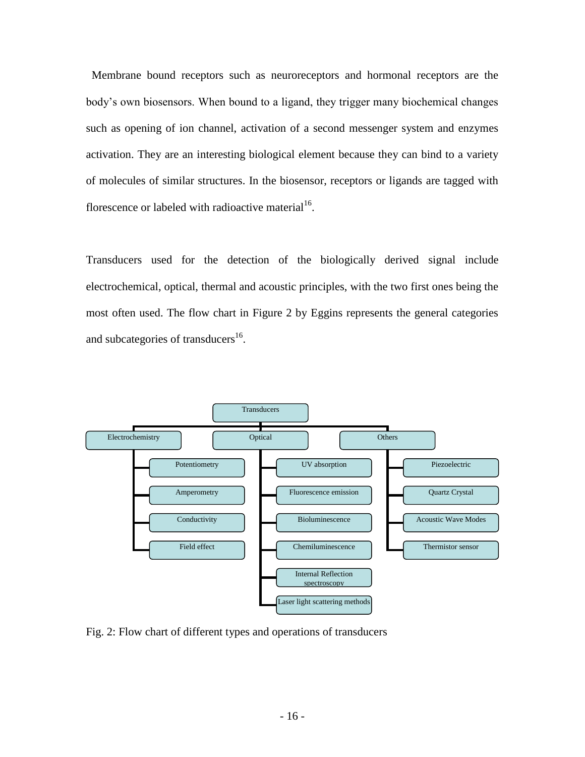Membrane bound receptors such as neuroreceptors and hormonal receptors are the body's own biosensors. When bound to a ligand, they trigger many biochemical changes such as opening of ion channel, activation of a second messenger system and enzymes activation. They are an interesting biological element because they can bind to a variety of molecules of similar structures. In the biosensor, receptors or ligands are tagged with florescence or labeled with radioactive material<sup>16</sup>.

Transducers used for the detection of the biologically derived signal include electrochemical, optical, thermal and acoustic principles, with the two first ones being the most often used. The flow chart in Figure 2 by Eggins represents the general categories and subcategories of transducers<sup>16</sup>.



Fig. 2: Flow chart of different types and operations of transducers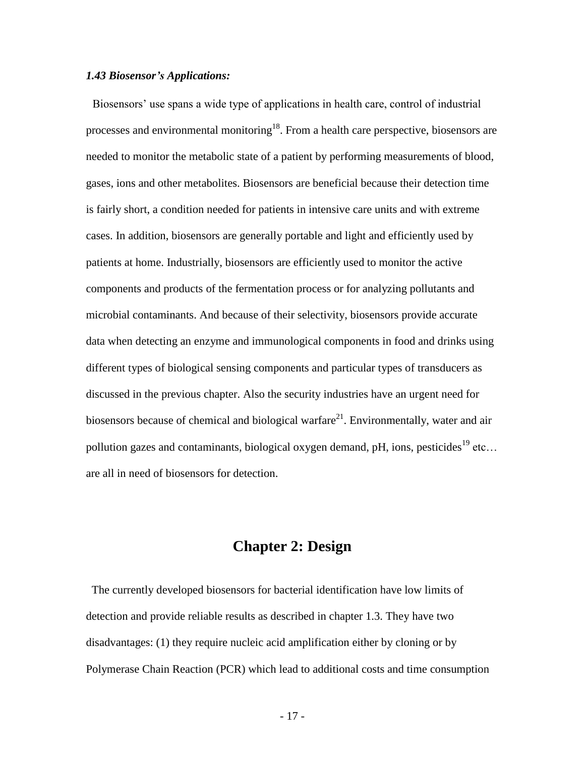#### *1.43 Biosensor's Applications:*

 Biosensors' use spans a wide type of applications in health care, control of industrial processes and environmental monitoring<sup>18</sup>. From a health care perspective, biosensors are needed to monitor the metabolic state of a patient by performing measurements of blood, gases, ions and other metabolites. Biosensors are beneficial because their detection time is fairly short, a condition needed for patients in intensive care units and with extreme cases. In addition, biosensors are generally portable and light and efficiently used by patients at home. Industrially, biosensors are efficiently used to monitor the active components and products of the fermentation process or for analyzing pollutants and microbial contaminants. And because of their selectivity, biosensors provide accurate data when detecting an enzyme and immunological components in food and drinks using different types of biological sensing components and particular types of transducers as discussed in the previous chapter. Also the security industries have an urgent need for biosensors because of chemical and biological warfare<sup>21</sup>. Environmentally, water and air pollution gazes and contaminants, biological oxygen demand, pH, ions, pesticides<sup>19</sup> etc... are all in need of biosensors for detection.

# **Chapter 2: Design**

 The currently developed biosensors for bacterial identification have low limits of detection and provide reliable results as described in chapter 1.3. They have two disadvantages: (1) they require nucleic acid amplification either by cloning or by Polymerase Chain Reaction (PCR) which lead to additional costs and time consumption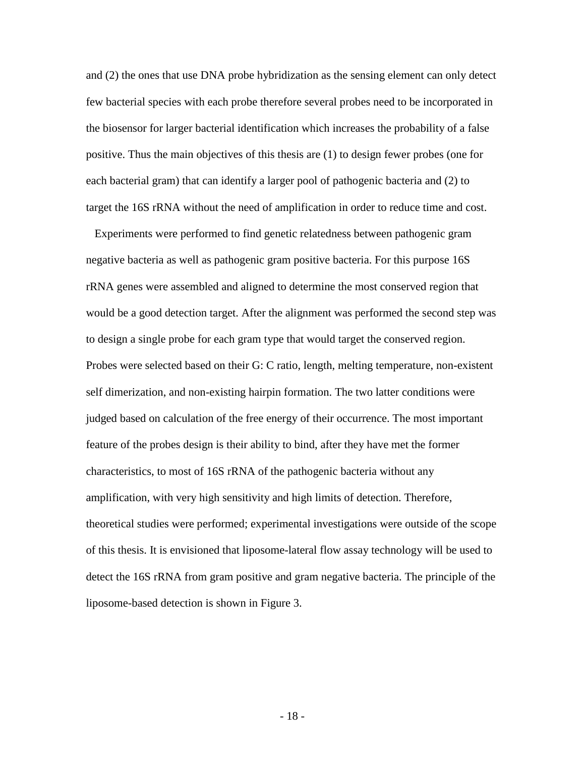and (2) the ones that use DNA probe hybridization as the sensing element can only detect few bacterial species with each probe therefore several probes need to be incorporated in the biosensor for larger bacterial identification which increases the probability of a false positive. Thus the main objectives of this thesis are (1) to design fewer probes (one for each bacterial gram) that can identify a larger pool of pathogenic bacteria and (2) to target the 16S rRNA without the need of amplification in order to reduce time and cost.

 Experiments were performed to find genetic relatedness between pathogenic gram negative bacteria as well as pathogenic gram positive bacteria. For this purpose 16S rRNA genes were assembled and aligned to determine the most conserved region that would be a good detection target. After the alignment was performed the second step was to design a single probe for each gram type that would target the conserved region. Probes were selected based on their G: C ratio, length, melting temperature, non-existent self dimerization, and non-existing hairpin formation. The two latter conditions were judged based on calculation of the free energy of their occurrence. The most important feature of the probes design is their ability to bind, after they have met the former characteristics, to most of 16S rRNA of the pathogenic bacteria without any amplification, with very high sensitivity and high limits of detection. Therefore, theoretical studies were performed; experimental investigations were outside of the scope of this thesis. It is envisioned that liposome-lateral flow assay technology will be used to detect the 16S rRNA from gram positive and gram negative bacteria. The principle of the liposome-based detection is shown in Figure 3.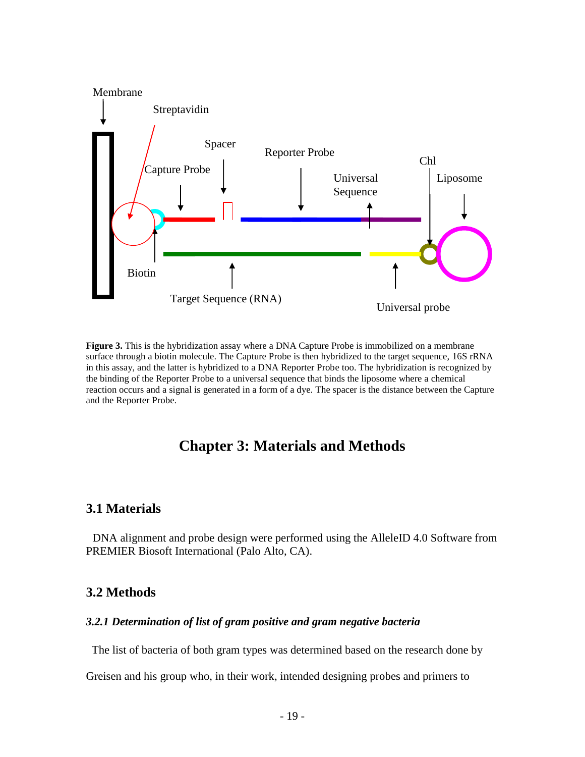

**Figure 3.** This is the hybridization assay where a DNA Capture Probe is immobilized on a membrane surface through a biotin molecule. The Capture Probe is then hybridized to the target sequence, 16S rRNA in this assay, and the latter is hybridized to a DNA Reporter Probe too. The hybridization is recognized by the binding of the Reporter Probe to a universal sequence that binds the liposome where a chemical reaction occurs and a signal is generated in a form of a dye. The spacer is the distance between the Capture and the Reporter Probe.

# **Chapter 3: Materials and Methods**

## **3.1 Materials**

 DNA alignment and probe design were performed using the AlleleID 4.0 Software from PREMIER Biosoft International (Palo Alto, CA).

## **3.2 Methods**

#### *3.2.1 Determination of list of gram positive and gram negative bacteria*

The list of bacteria of both gram types was determined based on the research done by

Greisen and his group who, in their work, intended designing probes and primers to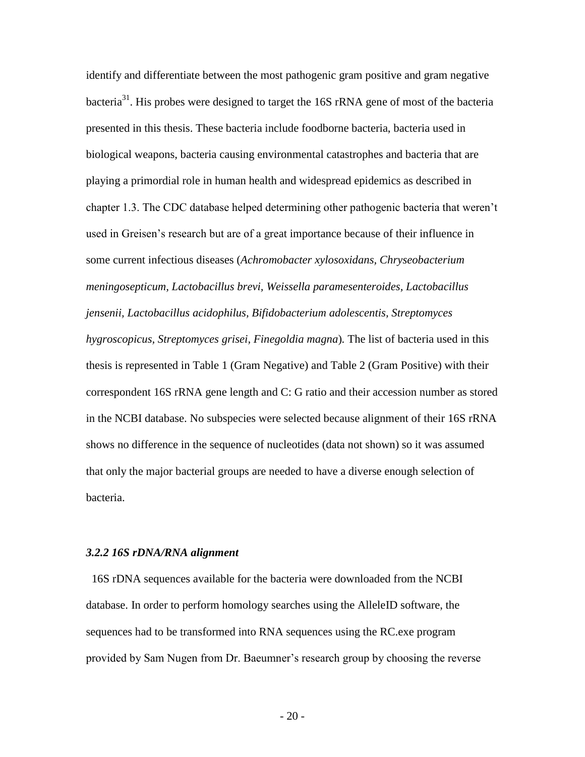identify and differentiate between the most pathogenic gram positive and gram negative bacteria<sup>31</sup>. His probes were designed to target the  $16S$  rRNA gene of most of the bacteria presented in this thesis. These bacteria include foodborne bacteria, bacteria used in biological weapons, bacteria causing environmental catastrophes and bacteria that are playing a primordial role in human health and widespread epidemics as described in chapter 1.3. The CDC database helped determining other pathogenic bacteria that weren't used in Greisen's research but are of a great importance because of their influence in some current infectious diseases (*Achromobacter xylosoxidans, Chryseobacterium meningosepticum, Lactobacillus brevi, Weissella paramesenteroides, Lactobacillus jensenii, Lactobacillus acidophilus, Bifidobacterium adolescentis, Streptomyces hygroscopicus, Streptomyces grisei, Finegoldia magna*)*.* The list of bacteria used in this thesis is represented in Table 1 (Gram Negative) and Table 2 (Gram Positive) with their correspondent 16S rRNA gene length and C: G ratio and their accession number as stored in the NCBI database. No subspecies were selected because alignment of their 16S rRNA shows no difference in the sequence of nucleotides (data not shown) so it was assumed that only the major bacterial groups are needed to have a diverse enough selection of bacteria.

#### *3.2.2 16S rDNA/RNA alignment*

 16S rDNA sequences available for the bacteria were downloaded from the NCBI database. In order to perform homology searches using the AlleleID software, the sequences had to be transformed into RNA sequences using the RC.exe program provided by Sam Nugen from Dr. Baeumner's research group by choosing the reverse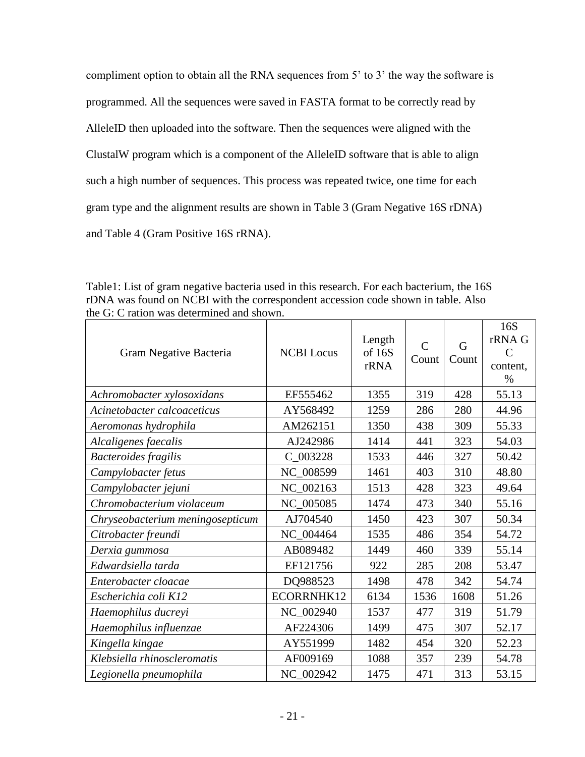compliment option to obtain all the RNA sequences from 5' to 3' the way the software is programmed. All the sequences were saved in FASTA format to be correctly read by AlleleID then uploaded into the software. Then the sequences were aligned with the ClustalW program which is a component of the AlleleID software that is able to align such a high number of sequences. This process was repeated twice, one time for each gram type and the alignment results are shown in Table 3 (Gram Negative 16S rDNA) and Table 4 (Gram Positive 16S rRNA).

Table1: List of gram negative bacteria used in this research. For each bacterium, the 16S rDNA was found on NCBI with the correspondent accession code shown in table. Also the G: C ration was determined and shown.

| Gram Negative Bacteria           | <b>NCBI</b> Locus | Length<br>of 16S<br>rRNA | $\mathcal{C}$<br>Count | G<br>Count | 16S<br>rRNA G<br>$\mathcal{C}$<br>content,<br>$\%$ |
|----------------------------------|-------------------|--------------------------|------------------------|------------|----------------------------------------------------|
| Achromobacter xylosoxidans       | EF555462          | 1355                     | 319                    | 428        | 55.13                                              |
| Acinetobacter calcoaceticus      | AY568492          | 1259                     | 286                    | 280        | 44.96                                              |
| Aeromonas hydrophila             | AM262151          | 1350                     | 438                    | 309        | 55.33                                              |
| Alcaligenes faecalis             | AJ242986          | 1414                     | 441                    | 323        | 54.03                                              |
| <b>Bacteroides fragilis</b>      | C_003228          | 1533                     | 446                    | 327        | 50.42                                              |
| Campylobacter fetus              | NC_008599         | 1461                     | 403                    | 310        | 48.80                                              |
| Campylobacter jejuni             | NC_002163         | 1513                     | 428                    | 323        | 49.64                                              |
| Chromobacterium violaceum        | NC_005085         | 1474                     | 473                    | 340        | 55.16                                              |
| Chryseobacterium meningosepticum | AJ704540          | 1450                     | 423                    | 307        | 50.34                                              |
| Citrobacter freundi              | NC_004464         | 1535                     | 486                    | 354        | 54.72                                              |
| Derxia gummosa                   | AB089482          | 1449                     | 460                    | 339        | 55.14                                              |
| Edwardsiella tarda               | EF121756          | 922                      | 285                    | 208        | 53.47                                              |
| Enterobacter cloacae             | DQ988523          | 1498                     | 478                    | 342        | 54.74                                              |
| Escherichia coli K12             | ECORRNHK12        | 6134                     | 1536                   | 1608       | 51.26                                              |
| Haemophilus ducreyi              | NC_002940         | 1537                     | 477                    | 319        | 51.79                                              |
| Haemophilus influenzae           | AF224306          | 1499                     | 475                    | 307        | 52.17                                              |
| Kingella kingae                  | AY551999          | 1482                     | 454                    | 320        | 52.23                                              |
| Klebsiella rhinoscleromatis      | AF009169          | 1088                     | 357                    | 239        | 54.78                                              |
| Legionella pneumophila           | NC_002942         | 1475                     | 471                    | 313        | 53.15                                              |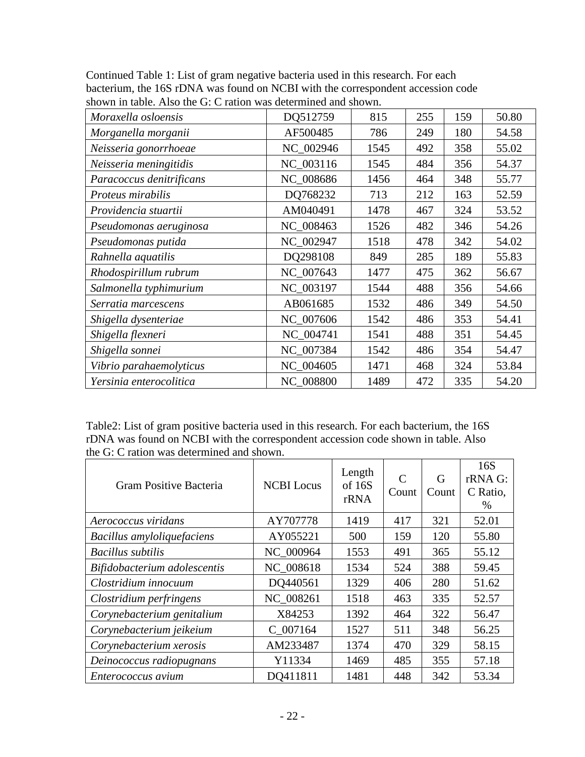| $\frac{1}{2}$ of $\frac{1}{2}$ and $\frac{1}{2}$ and $\frac{1}{2}$ and $\frac{1}{2}$ and $\frac{1}{2}$ and $\frac{1}{2}$ and $\frac{1}{2}$ and $\frac{1}{2}$ |           |      |     |     |       |
|--------------------------------------------------------------------------------------------------------------------------------------------------------------|-----------|------|-----|-----|-------|
| Moraxella osloensis                                                                                                                                          | DQ512759  | 815  | 255 | 159 | 50.80 |
| Morganella morganii                                                                                                                                          | AF500485  | 786  | 249 | 180 | 54.58 |
| Neisseria gonorrhoeae                                                                                                                                        | NC_002946 | 1545 | 492 | 358 | 55.02 |
| Neisseria meningitidis                                                                                                                                       | NC 003116 | 1545 | 484 | 356 | 54.37 |
| Paracoccus denitrificans                                                                                                                                     | NC_008686 | 1456 | 464 | 348 | 55.77 |
| Proteus mirabilis                                                                                                                                            | DQ768232  | 713  | 212 | 163 | 52.59 |
| Providencia stuartii                                                                                                                                         | AM040491  | 1478 | 467 | 324 | 53.52 |
| Pseudomonas aeruginosa                                                                                                                                       | NC_008463 | 1526 | 482 | 346 | 54.26 |
| Pseudomonas putida                                                                                                                                           | NC_002947 | 1518 | 478 | 342 | 54.02 |
| Rahnella aquatilis                                                                                                                                           | DQ298108  | 849  | 285 | 189 | 55.83 |
| Rhodospirillum rubrum                                                                                                                                        | NC_007643 | 1477 | 475 | 362 | 56.67 |
| Salmonella typhimurium                                                                                                                                       | NC_003197 | 1544 | 488 | 356 | 54.66 |
| Serratia marcescens                                                                                                                                          | AB061685  | 1532 | 486 | 349 | 54.50 |
| Shigella dysenteriae                                                                                                                                         | NC_007606 | 1542 | 486 | 353 | 54.41 |
| Shigella flexneri                                                                                                                                            | NC_004741 | 1541 | 488 | 351 | 54.45 |
| Shigella sonnei                                                                                                                                              | NC_007384 | 1542 | 486 | 354 | 54.47 |
| Vibrio parahaemolyticus                                                                                                                                      | NC_004605 | 1471 | 468 | 324 | 53.84 |
| Yersinia enterocolitica                                                                                                                                      | NC_008800 | 1489 | 472 | 335 | 54.20 |

Continued Table 1: List of gram negative bacteria used in this research. For each bacterium, the 16S rDNA was found on NCBI with the correspondent accession code shown in table. Also the G: C ration was determined and shown.

Table2: List of gram positive bacteria used in this research. For each bacterium, the 16S rDNA was found on NCBI with the correspondent accession code shown in table. Also the G: C ration was determined and shown.

| Gram Positive Bacteria       | <b>NCBI</b> Locus | Length<br>of 16S<br>rRNA | $\mathcal{C}$<br>Count | G<br>Count | 16S<br>rRNA G:<br>C Ratio,<br>$\%$ |
|------------------------------|-------------------|--------------------------|------------------------|------------|------------------------------------|
| Aerococcus viridans          | AY707778          | 1419                     | 417                    | 321        | 52.01                              |
| Bacillus amyloliquefaciens   | AY055221          | 500                      | 159                    | 120        | 55.80                              |
| Bacillus subtilis            | NC 000964         | 1553                     | 491                    | 365        | 55.12                              |
| Bifidobacterium adolescentis | NC 008618         | 1534                     | 524                    | 388        | 59.45                              |
| Clostridium innocuum         | DQ440561          | 1329                     | 406                    | 280        | 51.62                              |
| Clostridium perfringens      | NC 008261         | 1518                     | 463                    | 335        | 52.57                              |
| Corynebacterium genitalium   | X84253            | 1392                     | 464                    | 322        | 56.47                              |
| Corynebacterium jeikeium     | C 007164          | 1527                     | 511                    | 348        | 56.25                              |
| Corynebacterium xerosis      | AM233487          | 1374                     | 470                    | 329        | 58.15                              |
| Deinococcus radiopugnans     | Y11334            | 1469                     | 485                    | 355        | 57.18                              |
| Enterococcus avium           | DO411811          | 1481                     | 448                    | 342        | 53.34                              |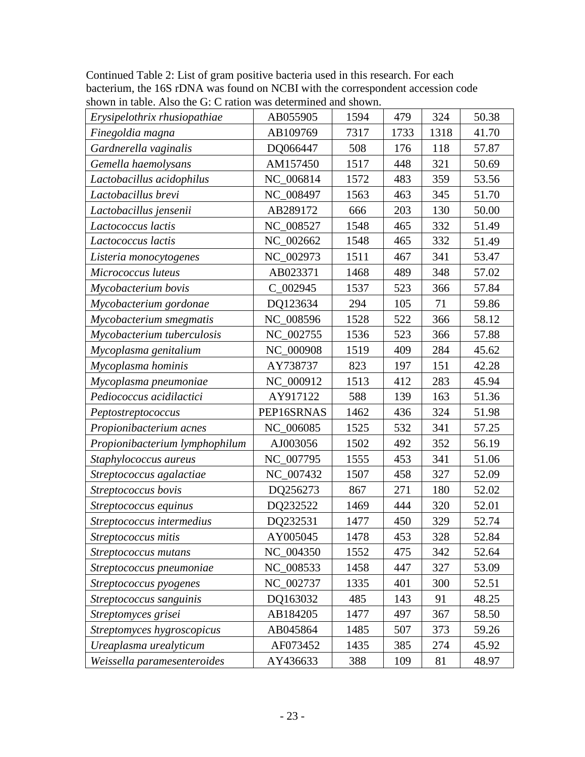| Erysipelothrix rhusiopathiae   | AB055905   | 1594 | 479  | 324  | 50.38 |
|--------------------------------|------------|------|------|------|-------|
| Finegoldia magna               | AB109769   | 7317 | 1733 | 1318 | 41.70 |
| Gardnerella vaginalis          | DQ066447   | 508  | 176  | 118  | 57.87 |
| Gemella haemolysans            | AM157450   | 1517 | 448  | 321  | 50.69 |
| Lactobacillus acidophilus      | NC 006814  | 1572 | 483  | 359  | 53.56 |
| Lactobacillus brevi            | NC_008497  | 1563 | 463  | 345  | 51.70 |
| Lactobacillus jensenii         | AB289172   | 666  | 203  | 130  | 50.00 |
| Lactococcus lactis             | NC_008527  | 1548 | 465  | 332  | 51.49 |
| Lactococcus lactis             | NC_002662  | 1548 | 465  | 332  | 51.49 |
| Listeria monocytogenes         | NC 002973  | 1511 | 467  | 341  | 53.47 |
| Micrococcus luteus             | AB023371   | 1468 | 489  | 348  | 57.02 |
| Mycobacterium bovis            | $C_002945$ | 1537 | 523  | 366  | 57.84 |
| Mycobacterium gordonae         | DQ123634   | 294  | 105  | 71   | 59.86 |
| Mycobacterium smegmatis        | NC_008596  | 1528 | 522  | 366  | 58.12 |
| Mycobacterium tuberculosis     | NC_002755  | 1536 | 523  | 366  | 57.88 |
| Mycoplasma genitalium          | NC 000908  | 1519 | 409  | 284  | 45.62 |
| Mycoplasma hominis             | AY738737   | 823  | 197  | 151  | 42.28 |
| Mycoplasma pneumoniae          | NC 000912  | 1513 | 412  | 283  | 45.94 |
| Pediococcus acidilactici       | AY917122   | 588  | 139  | 163  | 51.36 |
| Peptostreptococcus             | PEP16SRNAS | 1462 | 436  | 324  | 51.98 |
| Propionibacterium acnes        | NC_006085  | 1525 | 532  | 341  | 57.25 |
| Propionibacterium lymphophilum | AJ003056   | 1502 | 492  | 352  | 56.19 |
| Staphylococcus aureus          | NC_007795  | 1555 | 453  | 341  | 51.06 |
| Streptococcus agalactiae       | NC_007432  | 1507 | 458  | 327  | 52.09 |
| Streptococcus bovis            | DQ256273   | 867  | 271  | 180  | 52.02 |
| Streptococcus equinus          | DQ232522   | 1469 | 444  | 320  | 52.01 |
| Streptococcus intermedius      | DQ232531   | 1477 | 450  | 329  | 52.74 |
| Streptococcus mitis            | AY005045   | 1478 | 453  | 328  | 52.84 |
| Streptococcus mutans           | NC_004350  | 1552 | 475  | 342  | 52.64 |
| Streptococcus pneumoniae       | NC_008533  | 1458 | 447  | 327  | 53.09 |
| Streptococcus pyogenes         | NC_002737  | 1335 | 401  | 300  | 52.51 |
| Streptococcus sanguinis        | DQ163032   | 485  | 143  | 91   | 48.25 |
| Streptomyces grisei            | AB184205   | 1477 | 497  | 367  | 58.50 |
| Streptomyces hygroscopicus     | AB045864   | 1485 | 507  | 373  | 59.26 |
| Ureaplasma urealyticum         | AF073452   | 1435 | 385  | 274  | 45.92 |
| Weissella paramesenteroides    | AY436633   | 388  | 109  | 81   | 48.97 |

Continued Table 2: List of gram positive bacteria used in this research. For each bacterium, the 16S rDNA was found on NCBI with the correspondent accession code shown in table. Also the G: C ration was determined and shown.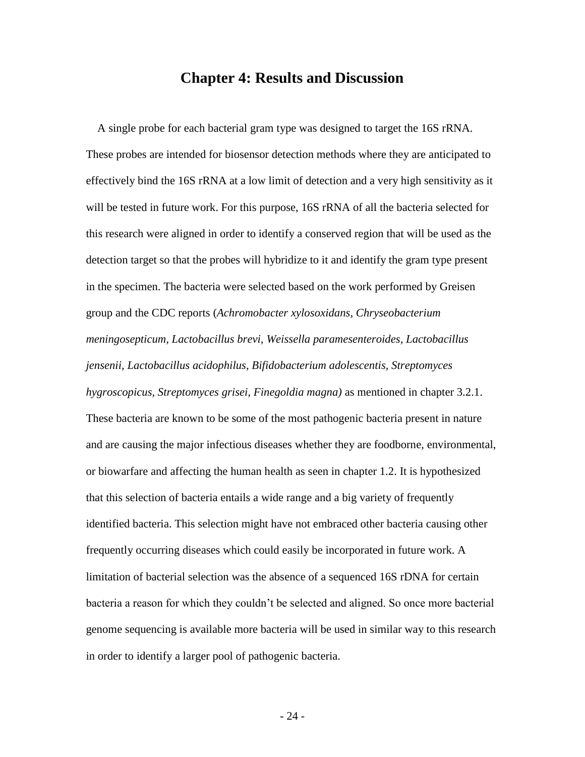## **Chapter 4: Results and Discussion**

 A single probe for each bacterial gram type was designed to target the 16S rRNA. These probes are intended for biosensor detection methods where they are anticipated to effectively bind the 16S rRNA at a low limit of detection and a very high sensitivity as it will be tested in future work. For this purpose, 16S rRNA of all the bacteria selected for this research were aligned in order to identify a conserved region that will be used as the detection target so that the probes will hybridize to it and identify the gram type present in the specimen. The bacteria were selected based on the work performed by Greisen group and the CDC reports (*Achromobacter xylosoxidans, Chryseobacterium meningosepticum, Lactobacillus brevi, Weissella paramesenteroides, Lactobacillus jensenii, Lactobacillus acidophilus, Bifidobacterium adolescentis, Streptomyces hygroscopicus, Streptomyces grisei, Finegoldia magna)* as mentioned in chapter 3.2.1. These bacteria are known to be some of the most pathogenic bacteria present in nature and are causing the major infectious diseases whether they are foodborne, environmental, or biowarfare and affecting the human health as seen in chapter 1.2. It is hypothesized that this selection of bacteria entails a wide range and a big variety of frequently identified bacteria. This selection might have not embraced other bacteria causing other frequently occurring diseases which could easily be incorporated in future work. A limitation of bacterial selection was the absence of a sequenced 16S rDNA for certain bacteria a reason for which they couldn't be selected and aligned. So once more bacterial genome sequencing is available more bacteria will be used in similar way to this research in order to identify a larger pool of pathogenic bacteria.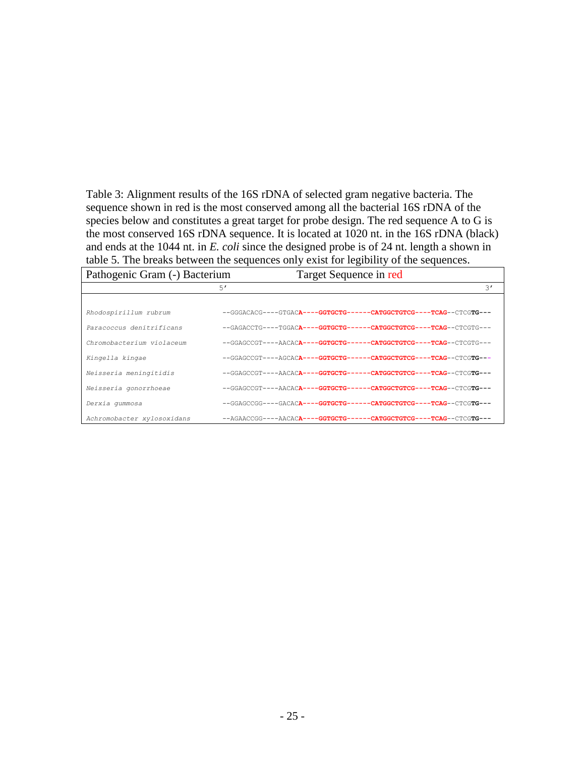Table 3: Alignment results of the 16S rDNA of selected gram negative bacteria. The sequence shown in red is the most conserved among all the bacterial 16S rDNA of the species below and constitutes a great target for probe design. The red sequence A to G is the most conserved 16S rDNA sequence. It is located at 1020 nt. in the 16S rDNA (black) and ends at the 1044 nt. in *E. coli* since the designed probe is of 24 nt. length a shown in table 5. The breaks between the sequences only exist for legibility of the sequences.

| Pathogenic Gram (-) Bacterium | Target Sequence in red                                                                   |                |
|-------------------------------|------------------------------------------------------------------------------------------|----------------|
|                               | 5'                                                                                       | $\mathcal{E}'$ |
|                               |                                                                                          |                |
| Rhodospirillum rubrum         | --GGGACACG----GTGACA----GGTGCTG------CATGGCTGTCG----TCAG--CTCGTG---                      |                |
| Paracoccus denitrificans      | --GAGACCTG----TGGACA----GGTGCTG------CATGGCTGTCG----TCAG--CTCGTG---                      |                |
| Chromobacterium violaceum     | --GGAGCCGT----AACACA----GGTGCTG------CATGGCTGTCG----TCAG--CTCGTG---                      |                |
| Kingella kingae               | --GGAGCCGT----AGCACA----GGTGCTG------CATGGCTGTCG----TCAG--CTCGTG---                      |                |
| Neisseria meningitidis        | --GGAGCCGT----AACACA----GGTGCTG------CATGGCTGTCG----TCAG--CTCGTG---                      |                |
| Neisseria gonorrhoeae         | --GGAGCCGT----AACAC <del>A----GGTGCTG------CATGGCTGTCG----TCAG</del> --CTCG <b>TG---</b> |                |
| Derxia qummosa                | --GGAGCCGG----GACACA----GGTGCTG------CATGGCTGTCG----TCAG--CTCGTG---                      |                |
| Achromobacter xylosoxidans    | --AGAACCGG----AACACA----GGTGCTG------CATGGCTGTCG----TCAG--CTCGTG---                      |                |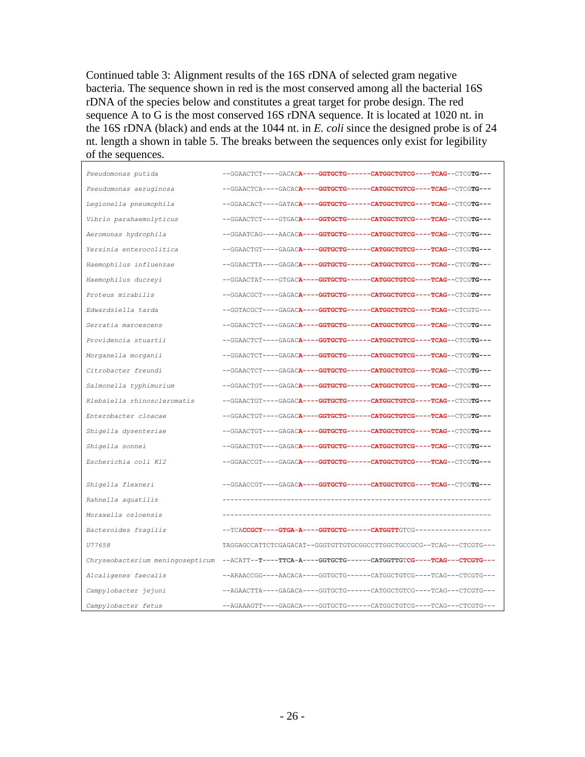Continued table 3: Alignment results of the 16S rDNA of selected gram negative bacteria. The sequence shown in red is the most conserved among all the bacterial 16S rDNA of the species below and constitutes a great target for probe design. The red sequence A to G is the most conserved 16S rDNA sequence. It is located at 1020 nt. in the 16S rDNA (black) and ends at the 1044 nt. in *E. coli* since the designed probe is of 24 nt. length a shown in table 5. The breaks between the sequences only exist for legibility of the sequences.

| Pseudomonas putida               | --GGAACTCT----GACACA----GGTGCTG------CATGGCTGTCG----TCAG--CTCGTG---  |
|----------------------------------|----------------------------------------------------------------------|
| Pseudomonas aeruginosa           | --GGAACTCA----GACACA----GGTGCTG------CATGGCTGTCG----TCAG--CTCGTG---  |
| Legionella pneumophila           | --GGAACACT----GATACA----GGTGCTG------CATGGCTGTCG----TCAG--CTCGTG---  |
| Vibrio parahaemolyticus          | --GGAACTCT----GTGACA----GGTGCTG------CATGGCTGTCG----TCAG--CTCGTG---  |
| Aeromonas hydrophila             | --GGAATCAG----AACACA----GGTGCTG------CATGGCTGTCG----TCAG--CTCGTG---  |
| Yersinia enterocolitica          | --GGAACTGT----GAGACA----GGTGCTG------CATGGCTGTCG----TCAG--CTCGTG---  |
| Haemophilus influenzae           | --GGAACTTA----GAGACA----GGTGCTG------CATGGCTGTCG----TCAG--CTCGTG---  |
| Haemophilus ducreyi              | --GGAACTAT----GTGACA----GGTGCTG------CATGGCTGTCG----TCAG--CTCGTG---  |
| Proteus mirabilis                | --GGAACGCT----GAGACA----GGTGCTG------CATGGCTGTCG----TCAG--CTCGTG---  |
| Edwardsiella tarda               | --GGTACGCT----GAGACA----GGTGCTG------CATGGCTGTCG----TCAG--CTCGTG---  |
| Serratia marcescens              | --GGAACTCT----GAGACA----GGTGCTG------CATGGCTGTCG----TCAG--CTCGTG---  |
| Providencia stuartii             | --GGAACTCT----GAGACA----GGTGCTG------CATGGCTGTCG----TCAG--CTCGTG---  |
| Morganella morganii              | --GGAACTCT----GAGACA----GGTGCTG------CATGGCTGTCG----TCAG--CTCGTG---  |
| Citrobacter freundi              | --GGAACTCT----GAGACA----GGTGCTG------CATGGCTGTCG----TCAG--CTCGTG---  |
| Salmonella typhimurium           | --GGAACTGT----GAGACA----GGTGCTG------CATGGCTGTCG----TCAG--CTCGTG---  |
| Klebsiella rhinoscleromatis      | --GGAACTGT----GAGACA----GGTGCTG------CATGGCTGTCG----TCAG--CTCGTG---  |
| Enterobacter cloacae             | --GGAACTGT----GAGACA----GGTGCTG------CATGGCTGTCG----TCAG--CTCGTG---  |
| Shigella dysenteriae             | --GGAACTGT----GAGACA----GGTGCTG------CATGGCTGTCG----TCAG--CTCGTG---  |
| Shigella sonnei                  | --GGAACTGT----GAGACA----GGTGCTG------CATGGCTGTCG----TCAG--CTCGTG---  |
| Escherichia coli K12             | --GGAACCGT----GAGACA----GGTGCTG------CATGGCTGTCG----TCAG--CTCGTG---  |
| Shigella flexneri                | --GGAACCGT----GAGACA----GGTGCTG------CATGGCTGTCG----TCAG--CTCGTG---  |
| Rahnella aquatilis               |                                                                      |
| Moraxella osloensis              |                                                                      |
| Bacteroides fragilis             |                                                                      |
| U77658                           |                                                                      |
|                                  | TAGGAGCCATTCTCGAGACAT--GGGTGTTGTGCGGCCTTGGCTGCCGCG--TCAG---CTCGTG--- |
| Chryseobacterium meningosepticum | --ACATT--T----TTCA-A----GGTGCTG------CATGGTTGTCG----TCAG---CTCGTG--- |
| Alcaligenes faecalis             | --ARAACCGG----AACACA----GGTGCTG------CATGGCTGTCG----TCAG---CTCGTG--- |
| Campylobacter jejuni             | --AGAACTTA----GAGACA----GGTGCTG------CATGGCTGTCG----TCAG---CTCGTG--- |
| Campylobacter fetus              | --AGAAAGTT----GAGACA----GGTGCTG------CATGGCTGTCG----TCAG---CTCGTG--- |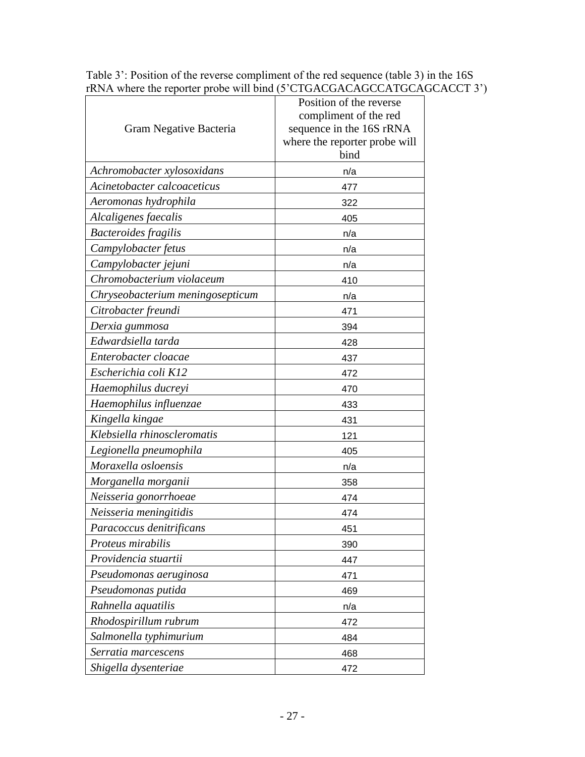|                                  | Position of the reverse               |
|----------------------------------|---------------------------------------|
|                                  | compliment of the red                 |
| Gram Negative Bacteria           | sequence in the 16S rRNA              |
|                                  | where the reporter probe will<br>bind |
|                                  |                                       |
| Achromobacter xylosoxidans       | n/a                                   |
| Acinetobacter calcoaceticus      | 477                                   |
| Aeromonas hydrophila             | 322                                   |
| Alcaligenes faecalis             | 405                                   |
| <b>Bacteroides fragilis</b>      | n/a                                   |
| Campylobacter fetus              | n/a                                   |
| Campylobacter jejuni             | n/a                                   |
| Chromobacterium violaceum        | 410                                   |
| Chryseobacterium meningosepticum | n/a                                   |
| Citrobacter freundi              | 471                                   |
| Derxia gummosa                   | 394                                   |
| Edwardsiella tarda               | 428                                   |
| Enterobacter cloacae             | 437                                   |
| Escherichia coli K12             | 472                                   |
| Haemophilus ducreyi              | 470                                   |
| Haemophilus influenzae           | 433                                   |
| Kingella kingae                  | 431                                   |
| Klebsiella rhinoscleromatis      | 121                                   |
| Legionella pneumophila           | 405                                   |
| Moraxella osloensis              | n/a                                   |
| Morganella morganii              | 358                                   |
| Neisseria gonorrhoeae            | 474                                   |
| Neisseria meningitidis           | 474                                   |
| Paracoccus denitrificans         | 451                                   |
| Proteus mirabilis                | 390                                   |
| Providencia stuartii             | 447                                   |
| Pseudomonas aeruginosa           | 471                                   |
| Pseudomonas putida               | 469                                   |
| Rahnella aquatilis               | n/a                                   |
| Rhodospirillum rubrum            | 472                                   |
| Salmonella typhimurium           | 484                                   |
| Serratia marcescens              | 468                                   |
| Shigella dysenteriae             | 472                                   |

Table 3': Position of the reverse compliment of the red sequence (table 3) in the 16S rRNA where the reporter probe will bind (5'CTGACGACAGCCATGCAGCACCT 3')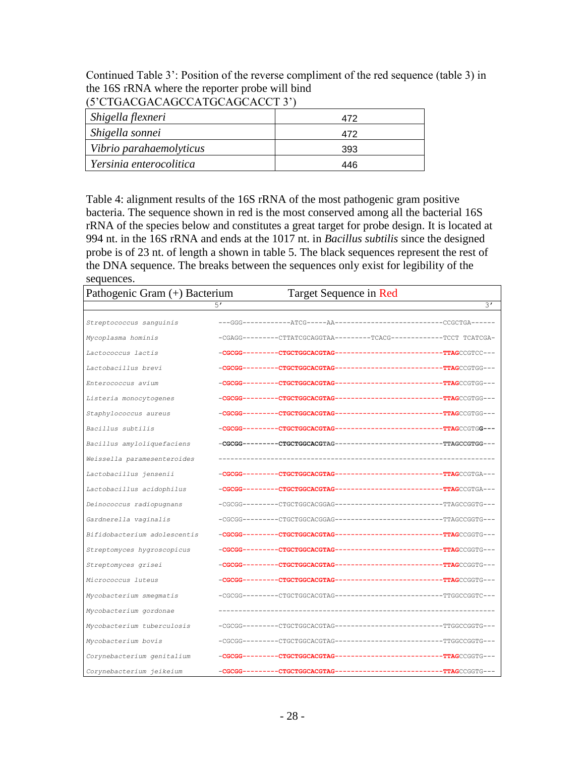Continued Table 3': Position of the reverse compliment of the red sequence (table 3) in the 16S rRNA where the reporter probe will bind

| $\sigma$ cronconchocentoche che s |     |  |  |
|-----------------------------------|-----|--|--|
| Shigella flexneri                 | 472 |  |  |
| Shigella sonnei                   | 472 |  |  |
| Vibrio parahaemolyticus           | 393 |  |  |
| Yersinia enterocolitica           | 446 |  |  |

### (5'CTGACGACAGCCATGCAGCACCT 3')

Table 4: alignment results of the 16S rRNA of the most pathogenic gram positive bacteria. The sequence shown in red is the most conserved among all the bacterial 16S rRNA of the species below and constitutes a great target for probe design. It is located at 994 nt. in the 16S rRNA and ends at the 1017 nt. in *Bacillus subtilis* since the designed probe is of 23 nt. of length a shown in table 5. The black sequences represent the rest of the DNA sequence. The breaks between the sequences only exist for legibility of the sequences.

| Pathogenic Gram (+) Bacterium |         | Target Sequence in Red                                                   |                                     |
|-------------------------------|---------|--------------------------------------------------------------------------|-------------------------------------|
|                               | 5'      |                                                                          | 3'                                  |
| Streptococcus sanguinis       |         | ---GGG-------------ATCG-----AA-<br>------------------------CCGCTGA------ |                                     |
| Mycoplasma hominis            |         |                                                                          |                                     |
| Lactococcus lactis            | -CGCGG- | ----CTGCTGGCACGTAG----<br>----------------- <b>-TTAG</b> CCGTCC---       |                                     |
| Lactobacillus brevi           | -CGCGG- | ---CTGCTGGCACGTAG-                                                       | ---TTAGCCGTGG---                    |
| Enterococcus avium            | -CGCGG- |                                                                          |                                     |
| Listeria monocytogenes        |         |                                                                          |                                     |
| Staphylococcus aureus         |         |                                                                          | ----- <b>TTAG</b> CCGTGG---         |
| Bacillus subtilis             |         |                                                                          |                                     |
| Bacillus amyloliquefaciens    |         | -CGCGG---------CTGCTGGCACGTAG----<br>----------------------TTAGCCGTGG--- |                                     |
| Weissella paramesenteroides   |         |                                                                          |                                     |
| Lactobacillus jensenii        |         |                                                                          |                                     |
| Lactobacillus acidophilus     | -CGCGG- |                                                                          |                                     |
| Deinococcus radiopugnans      |         |                                                                          |                                     |
| Gardnerella vaginalis         |         |                                                                          |                                     |
| Bifidobacterium adolescentis  |         |                                                                          |                                     |
| Streptomyces hygroscopicus    |         |                                                                          |                                     |
| Streptomyces grisei           |         |                                                                          |                                     |
| Micrococcus luteus            | -CGCGG- |                                                                          |                                     |
| Mycobacterium smegmatis       |         |                                                                          |                                     |
| Mycobacterium gordonae        |         |                                                                          |                                     |
| Mycobacterium tuberculosis    |         |                                                                          |                                     |
| Mycobacterium bovis           |         | -CGCGG---------CTGCTGGCACGTAG-                                           | -----------TTGGCCGGTG---            |
| Corynebacterium genitalium    | -CGCGG- |                                                                          |                                     |
| Corynebacterium jeikeium      | -CGCGG- | -----CTGCTGGCACGTAG-                                                     | ------------- <b>TTAG</b> CCGGTG--- |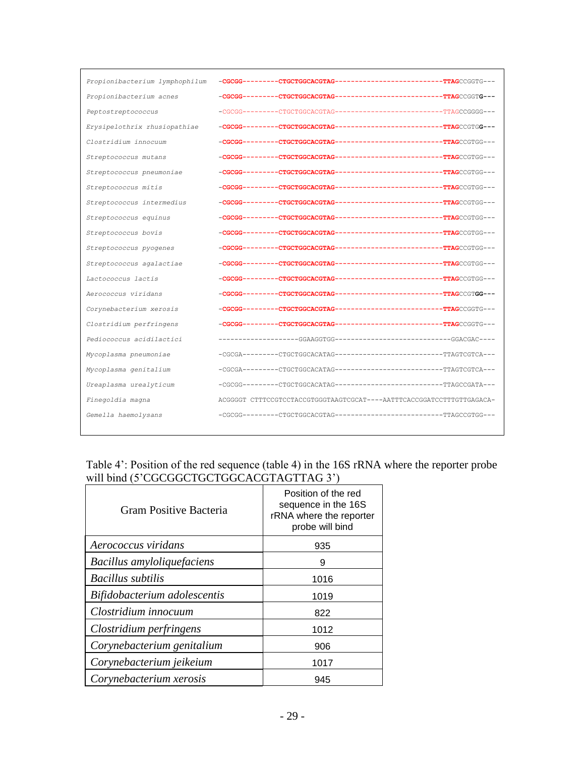| Propionibacterium lymphophilum |                                                                       |  |
|--------------------------------|-----------------------------------------------------------------------|--|
| Propionibacterium acnes        |                                                                       |  |
| Peptostreptococcus             |                                                                       |  |
| Erysipelothrix rhusiopathiae   |                                                                       |  |
| Clostridium innocuum           |                                                                       |  |
| Streptococcus mutans           |                                                                       |  |
| Streptococcus pneumoniae       |                                                                       |  |
| Streptococcus mitis            |                                                                       |  |
| Streptococcus intermedius      |                                                                       |  |
| Streptococcus equinus          |                                                                       |  |
| Streptococcus bovis            |                                                                       |  |
| Streptococcus pyogenes         |                                                                       |  |
| Streptococcus agalactiae       |                                                                       |  |
| Lactococcus lactis             |                                                                       |  |
| Aerococcus viridans            |                                                                       |  |
| Corynebacterium xerosis        |                                                                       |  |
| Clostridium perfringens        |                                                                       |  |
| Pediococcus acidilactici       |                                                                       |  |
| Mycoplasma pneumoniae          |                                                                       |  |
| Mycoplasma genitalium          |                                                                       |  |
| Ureaplasma urealyticum         |                                                                       |  |
| Finegoldia magna               | ACGGGGT CTTTCCGTCCTACCGTGGGTAAGTCGCAT----AATTTCACCGGATCCTTTGTTGAGACA- |  |
| Gemella haemolysans            |                                                                       |  |
|                                |                                                                       |  |

### Table 4': Position of the red sequence (table 4) in the 16S rRNA where the reporter probe will bind (5'CGCGGCTGCTGGCACGTAGTTAG 3')

| Gram Positive Bacteria       | Position of the red<br>sequence in the 16S<br>rRNA where the reporter<br>probe will bind |
|------------------------------|------------------------------------------------------------------------------------------|
| Aerococcus viridans          | 935                                                                                      |
| Bacillus amyloliquefaciens   | 9                                                                                        |
| <b>Bacillus</b> subtilis     | 1016                                                                                     |
| Bifidobacterium adolescentis | 1019                                                                                     |
| Clostridium innocuum         | 822                                                                                      |
| Clostridium perfringens      | 1012                                                                                     |
| Corynebacterium genitalium   | 906                                                                                      |
| Corynebacterium jeikeium     | 1017                                                                                     |
| Corynebacterium xerosis      | 945                                                                                      |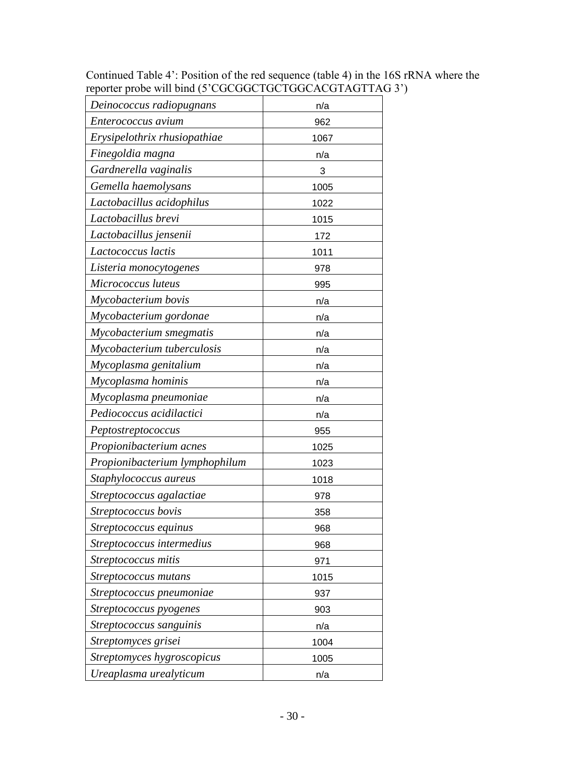Continued Table 4': Position of the red sequence (table 4) in the 16S rRNA where the reporter probe will bind (5'CGCGGCTGCTGGCACGTAGTTAG 3')

| Deinococcus radiopugnans       | n/a  |
|--------------------------------|------|
| Enterococcus avium             | 962  |
| Erysipelothrix rhusiopathiae   | 1067 |
| Finegoldia magna               | n/a  |
| Gardnerella vaginalis          | 3    |
| Gemella haemolysans            | 1005 |
| Lactobacillus acidophilus      | 1022 |
| Lactobacillus brevi            | 1015 |
| Lactobacillus jensenii         | 172  |
| Lactococcus lactis             | 1011 |
| Listeria monocytogenes         | 978  |
| Micrococcus luteus             | 995  |
| Mycobacterium bovis            | n/a  |
| Mycobacterium gordonae         | n/a  |
| Mycobacterium smegmatis        | n/a  |
| Mycobacterium tuberculosis     | n/a  |
| Mycoplasma genitalium          | n/a  |
| Mycoplasma hominis             | n/a  |
| Mycoplasma pneumoniae          | n/a  |
| Pediococcus acidilactici       | n/a  |
| Peptostreptococcus             | 955  |
| Propionibacterium acnes        | 1025 |
| Propionibacterium lymphophilum | 1023 |
| Staphylococcus aureus          | 1018 |
| Streptococcus agalactiae       | 978  |
| Streptococcus bovis            | 358  |
| Streptococcus equinus          | 968  |
| Streptococcus intermedius      | 968  |
| Streptococcus mitis            | 971  |
| Streptococcus mutans           | 1015 |
| Streptococcus pneumoniae       | 937  |
| Streptococcus pyogenes         | 903  |
| Streptococcus sanguinis        | n/a  |
| Streptomyces grisei            | 1004 |
| Streptomyces hygroscopicus     | 1005 |
| Ureaplasma urealyticum         | n/a  |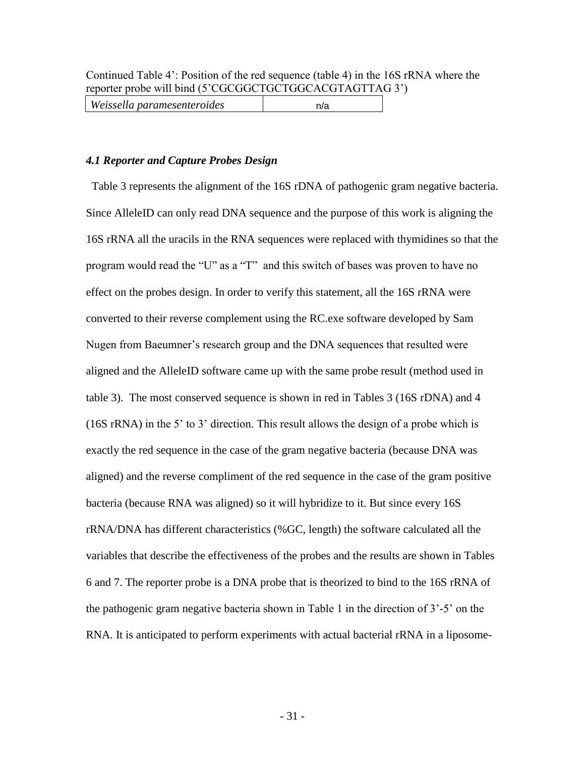| Weissella paramesenteroides | n/a |
|-----------------------------|-----|
|-----------------------------|-----|

### *4.1 Reporter and Capture Probes Design*

Table 3 represents the alignment of the 16S rDNA of pathogenic gram negative bacteria. Since AlleleID can only read DNA sequence and the purpose of this work is aligning the 16S rRNA all the uracils in the RNA sequences were replaced with thymidines so that the program would read the "U" as a "T" and this switch of bases was proven to have no effect on the probes design. In order to verify this statement, all the 16S rRNA were converted to their reverse complement using the RC.exe software developed by Sam Nugen from Baeumner's research group and the DNA sequences that resulted were aligned and the AlleleID software came up with the same probe result (method used in table 3). The most conserved sequence is shown in red in Tables 3 (16S rDNA) and 4 (16S rRNA) in the 5' to 3' direction. This result allows the design of a probe which is exactly the red sequence in the case of the gram negative bacteria (because DNA was aligned) and the reverse compliment of the red sequence in the case of the gram positive bacteria (because RNA was aligned) so it will hybridize to it. But since every 16S rRNA/DNA has different characteristics (%GC, length) the software calculated all the variables that describe the effectiveness of the probes and the results are shown in Tables 6 and 7. The reporter probe is a DNA probe that is theorized to bind to the 16S rRNA of the pathogenic gram negative bacteria shown in Table 1 in the direction of 3'-5' on the RNA. It is anticipated to perform experiments with actual bacterial rRNA in a liposome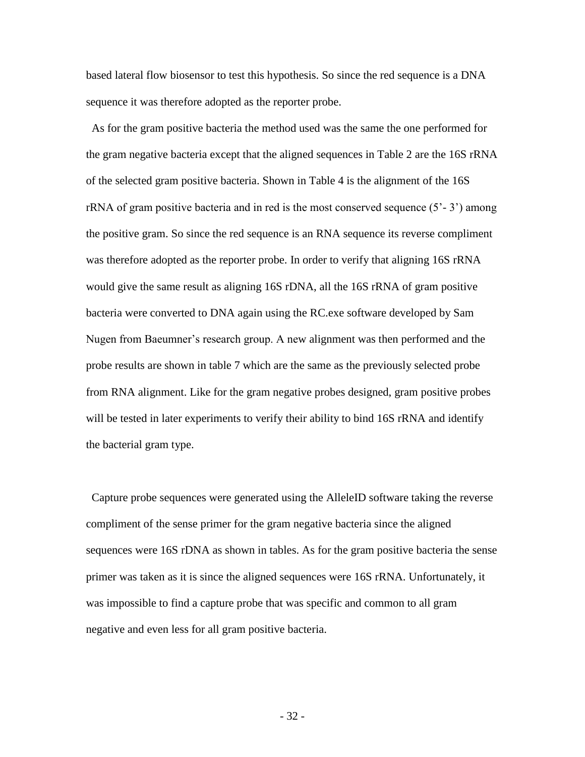based lateral flow biosensor to test this hypothesis. So since the red sequence is a DNA sequence it was therefore adopted as the reporter probe.

 As for the gram positive bacteria the method used was the same the one performed for the gram negative bacteria except that the aligned sequences in Table 2 are the 16S rRNA of the selected gram positive bacteria. Shown in Table 4 is the alignment of the 16S  $rRNA$  of gram positive bacteria and in red is the most conserved sequence  $(5^2 - 3^2)$  among the positive gram. So since the red sequence is an RNA sequence its reverse compliment was therefore adopted as the reporter probe. In order to verify that aligning 16S rRNA would give the same result as aligning 16S rDNA, all the 16S rRNA of gram positive bacteria were converted to DNA again using the RC.exe software developed by Sam Nugen from Baeumner's research group. A new alignment was then performed and the probe results are shown in table 7 which are the same as the previously selected probe from RNA alignment. Like for the gram negative probes designed, gram positive probes will be tested in later experiments to verify their ability to bind 16S rRNA and identify the bacterial gram type.

 Capture probe sequences were generated using the AlleleID software taking the reverse compliment of the sense primer for the gram negative bacteria since the aligned sequences were 16S rDNA as shown in tables. As for the gram positive bacteria the sense primer was taken as it is since the aligned sequences were 16S rRNA. Unfortunately, it was impossible to find a capture probe that was specific and common to all gram negative and even less for all gram positive bacteria.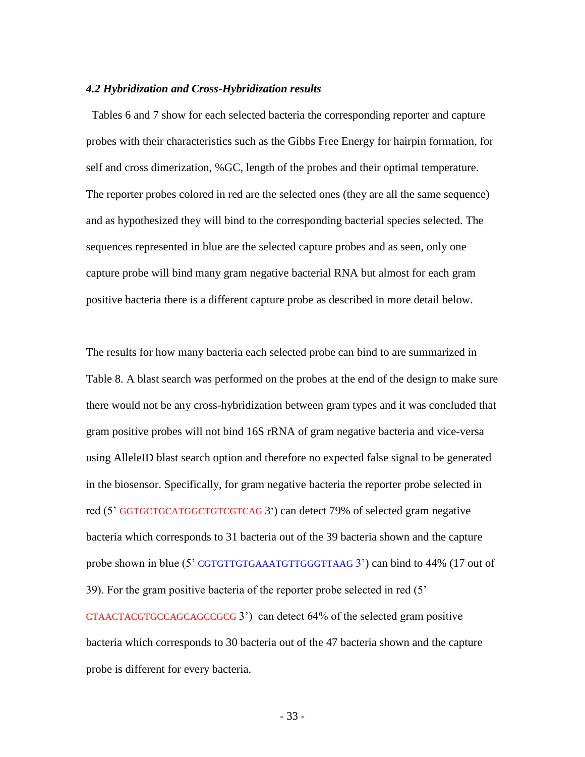#### *4.2 Hybridization and Cross-Hybridization results*

 Tables 6 and 7 show for each selected bacteria the corresponding reporter and capture probes with their characteristics such as the Gibbs Free Energy for hairpin formation, for self and cross dimerization, %GC, length of the probes and their optimal temperature. The reporter probes colored in red are the selected ones (they are all the same sequence) and as hypothesized they will bind to the corresponding bacterial species selected. The sequences represented in blue are the selected capture probes and as seen, only one capture probe will bind many gram negative bacterial RNA but almost for each gram positive bacteria there is a different capture probe as described in more detail below.

The results for how many bacteria each selected probe can bind to are summarized in Table 8. A blast search was performed on the probes at the end of the design to make sure there would not be any cross-hybridization between gram types and it was concluded that gram positive probes will not bind 16S rRNA of gram negative bacteria and vice-versa using AlleleID blast search option and therefore no expected false signal to be generated in the biosensor. Specifically, for gram negative bacteria the reporter probe selected in red (5' GGTGCTGCATGGCTGTCGTCAG 3') can detect 79% of selected gram negative bacteria which corresponds to 31 bacteria out of the 39 bacteria shown and the capture probe shown in blue (5' CGTGTTGTGAAATGTTGGGTTAAG 3') can bind to 44% (17 out of 39). For the gram positive bacteria of the reporter probe selected in red (5' CTAACTACGTGCCAGCAGCCGCG 3') can detect 64% of the selected gram positive bacteria which corresponds to 30 bacteria out of the 47 bacteria shown and the capture probe is different for every bacteria.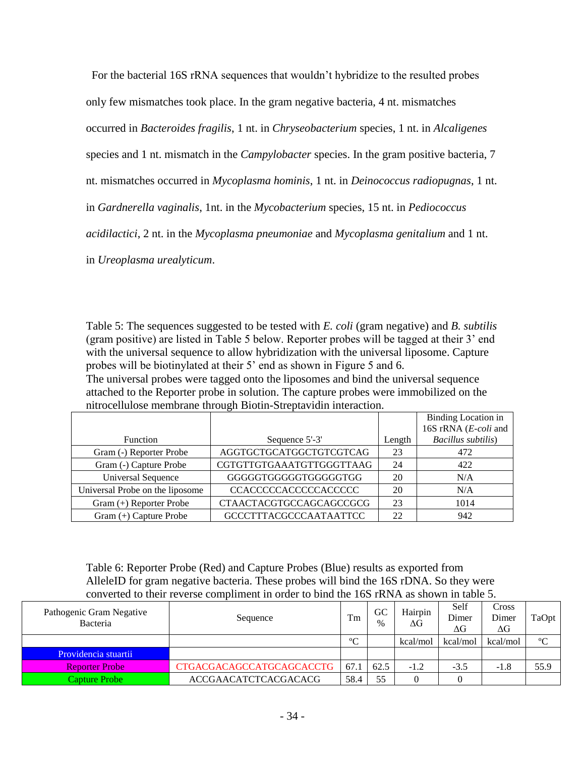For the bacterial 16S rRNA sequences that wouldn't hybridize to the resulted probes

only few mismatches took place. In the gram negative bacteria, 4 nt. mismatches

occurred in *Bacteroides fragilis*, 1 nt. in *Chryseobacterium* species, 1 nt. in *Alcaligenes*

species and 1 nt. mismatch in the *Campylobacter* species. In the gram positive bacteria, 7

nt. mismatches occurred in *Mycoplasma hominis*, 1 nt. in *Deinococcus radiopugnas*, 1 nt.

in *Gardnerella vaginalis*, 1nt. in the *Mycobacterium* species, 15 nt. in *Pediococcus* 

*acidilactici*, 2 nt. in the *Mycoplasma pneumoniae* and *Mycoplasma genitalium* and 1 nt.

in *Ureoplasma urealyticum*.

Table 5: The sequences suggested to be tested with *E. coli* (gram negative) and *B. subtilis* (gram positive) are listed in Table 5 below. Reporter probes will be tagged at their 3' end with the universal sequence to allow hybridization with the universal liposome. Capture probes will be biotinylated at their 5' end as shown in Figure 5 and 6. The universal probes were tagged onto the liposomes and bind the universal sequence attached to the Reporter probe in solution. The capture probes were immobilized on the nitrocellulose membrane through Biotin-Streptavidin interaction.

|                                 |                               |        | <b>Binding Location in</b> |
|---------------------------------|-------------------------------|--------|----------------------------|
|                                 |                               |        | 16S rRNA (E-coli and       |
| Function                        | Sequence 5'-3'                | Length | Bacillus subtilis)         |
| Gram (-) Reporter Probe         | AGGTGCTGCATGGCTGTCGTCAG       | 23     | 472                        |
| Gram (-) Capture Probe          | CGTGTTGTGAAATGTTGGGTTAAG      | 24     | 422                        |
| <b>Universal Sequence</b>       | GGGGGTGGGGTGGGGGTGG           | 20     | N/A                        |
| Universal Probe on the liposome | <b>CCACCCCCACCCCCACCCCC</b>   | 20     | N/A                        |
| Gram (+) Reporter Probe         | CTAACTACGTGCCAGCAGCCGCG       | 23     | 1014                       |
| Gram (+) Capture Probe          | <b>GCCCTTTACGCCCAATAATTCC</b> | 22     | 942                        |

Table 6: Reporter Probe (Red) and Capture Probes (Blue) results as exported from AlleleID for gram negative bacteria. These probes will bind the 16S rDNA. So they were converted to their reverse compliment in order to bind the 16S rRNA as shown in table 5.

| Pathogenic Gram Negative<br>Bacteria | Sequence                        | Tm         | GC<br>$\%$ | Hairpin<br>ΔG | Self<br>Dimer<br>ΔG | Cross<br>Dimer<br>ΔG | TaOpt      |
|--------------------------------------|---------------------------------|------------|------------|---------------|---------------------|----------------------|------------|
|                                      |                                 | $^{\circ}$ |            | kcal/mol      | kcal/mol            | kcal/mol             | $^{\circ}$ |
| Providencia stuartii                 |                                 |            |            |               |                     |                      |            |
| <b>Reporter Probe</b>                | <b>CTGACGACAGCCATGCAGCACCTG</b> | 67.1       | 62.5       | $-1.2$        | $-3.5$              | -1.8                 | 55.9       |
| Capture Probe                        | <b>ACCGAACATCTCACGACACG</b>     | 58.4       | 55         |               |                     |                      |            |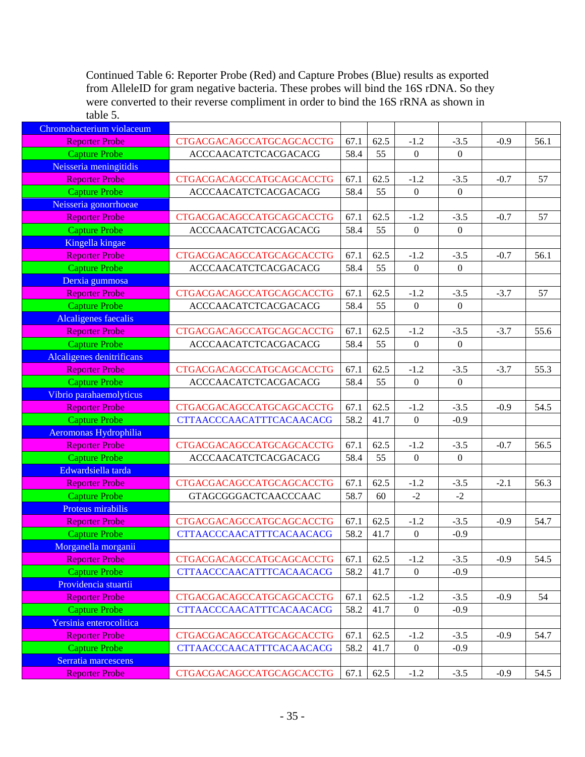Continued Table 6: Reporter Probe (Red) and Capture Probes (Blue) results as exported from AlleleID for gram negative bacteria. These probes will bind the 16S rDNA. So they were converted to their reverse compliment in order to bind the 16S rRNA as shown in table 5.

| Chromobacterium violaceum                     |                                 |      |      |                  |                  |        |      |
|-----------------------------------------------|---------------------------------|------|------|------------------|------------------|--------|------|
| <b>Reporter Probe</b>                         | <b>CTGACGACAGCCATGCAGCACCTG</b> | 67.1 | 62.5 | $-1.2$           | $-3.5$           | $-0.9$ | 56.1 |
| <b>Capture Probe</b>                          | ACCCAACATCTCACGACACG            | 58.4 | 55   | $\boldsymbol{0}$ | $\theta$         |        |      |
| Neisseria meningitidis                        |                                 |      |      |                  |                  |        |      |
| <b>Reporter Probe</b>                         | <b>CTGACGACAGCCATGCAGCACCTG</b> | 67.1 | 62.5 | $-1.2$           | $-3.5$           | $-0.7$ | 57   |
| <b>Capture Probe</b>                          | ACCCAACATCTCACGACACG            | 58.4 | 55   | $\boldsymbol{0}$ | $\boldsymbol{0}$ |        |      |
| Neisseria gonorrhoeae                         |                                 |      |      |                  |                  |        |      |
| <b>Reporter Probe</b>                         | <b>CTGACGACAGCCATGCAGCACCTG</b> | 67.1 | 62.5 | $-1.2$           | $-3.5$           | $-0.7$ | 57   |
| <b>Capture Probe</b>                          | ACCCAACATCTCACGACACG            | 58.4 | 55   | $\boldsymbol{0}$ | $\mathbf{0}$     |        |      |
| Kingella kingae                               |                                 |      |      |                  |                  |        |      |
| <b>Reporter Probe</b>                         | CTGACGACAGCCATGCAGCACCTG        | 67.1 | 62.5 | $-1.2$           | $-3.5$           | $-0.7$ | 56.1 |
| <b>Capture Probe</b>                          | ACCCAACATCTCACGACACG            | 58.4 | 55   | $\boldsymbol{0}$ | $\boldsymbol{0}$ |        |      |
| Derxia gummosa                                |                                 |      |      |                  |                  |        |      |
| <b>Reporter Probe</b>                         | <b>CTGACGACAGCCATGCAGCACCTG</b> | 67.1 | 62.5 | $-1.2$           | $-3.5$           | $-3.7$ | 57   |
| <b>Capture Probe</b>                          | ACCCAACATCTCACGACACG            | 58.4 | 55   | $\boldsymbol{0}$ | $\boldsymbol{0}$ |        |      |
| Alcaligenes faecalis                          |                                 |      |      |                  |                  |        |      |
| <b>Reporter Probe</b>                         | CTGACGACAGCCATGCAGCACCTG        | 67.1 | 62.5 | $-1.2$           | $-3.5$           | $-3.7$ | 55.6 |
| <b>Capture Probe</b>                          | ACCCAACATCTCACGACACG            | 58.4 | 55   | $\mathbf{0}$     | $\theta$         |        |      |
| Alcaligenes denitrificans                     |                                 |      |      |                  |                  |        |      |
| <b>Reporter Probe</b>                         | CTGACGACAGCCATGCAGCACCTG        | 67.1 | 62.5 | $-1.2$           | $-3.5$           | $-3.7$ | 55.3 |
| <b>Capture Probe</b>                          | <b>ACCCAACATCTCACGACACG</b>     | 58.4 | 55   | $\boldsymbol{0}$ | $\boldsymbol{0}$ |        |      |
| Vibrio parahaemolyticus                       |                                 |      |      |                  |                  |        |      |
| <b>Reporter Probe</b>                         | <b>CTGACGACAGCCATGCAGCACCTG</b> | 67.1 | 62.5 | $-1.2$           | $-3.5$           | $-0.9$ | 54.5 |
| <b>Capture Probe</b>                          | <b>CTTAACCCAACATTTCACAACACG</b> | 58.2 | 41.7 | $\boldsymbol{0}$ | $-0.9$           |        |      |
| Aeromonas Hydrophilia                         |                                 |      |      |                  |                  |        |      |
| <b>Reporter Probe</b>                         | <b>CTGACGACAGCCATGCAGCACCTG</b> | 67.1 | 62.5 | $-1.2$           | $-3.5$           | $-0.7$ | 56.5 |
| <b>Capture Probe</b>                          | ACCCAACATCTCACGACACG            | 58.4 | 55   | $\boldsymbol{0}$ | $\theta$         |        |      |
| Edwardsiella tarda                            |                                 |      |      |                  |                  |        |      |
| <b>Reporter Probe</b>                         | <b>CTGACGACAGCCATGCAGCACCTG</b> | 67.1 | 62.5 | $-1.2$           | $-3.5$           | $-2.1$ | 56.3 |
| <b>Capture Probe</b>                          | GTAGCGGGACTCAACCCAAC            | 58.7 | 60   | $-2$             | $-2$             |        |      |
| Proteus mirabilis                             |                                 |      |      |                  |                  |        |      |
| <b>Reporter Probe</b>                         | <b>CTGACGACAGCCATGCAGCACCTG</b> | 67.1 | 62.5 | $-1.2$           | $-3.5$           | $-0.9$ | 54.7 |
| <b>Capture Probe</b>                          | <b>CTTAACCCAACATTTCACAACACG</b> | 58.2 | 41.7 | $\boldsymbol{0}$ | $-0.9$           |        |      |
| Morganella morganii                           |                                 |      |      |                  |                  |        |      |
| <b>Reporter Probe</b>                         | <b>CTGACGACAGCCATGCAGCACCTG</b> | 67.1 | 62.5 | $-1.2$           | $-3.5$           | $-0.9$ | 54.5 |
| <b>Capture Probe</b>                          | <b>CTTAACCCAACATTTCACAACACG</b> | 58.2 | 41.7 | $\boldsymbol{0}$ | $-0.9$           |        |      |
| Providencia stuartii                          |                                 |      |      |                  |                  |        |      |
| <b>Reporter Probe</b>                         | <b>CTGACGACAGCCATGCAGCACCTG</b> | 67.1 | 62.5 | $-1.2$           | $-3.5$           | $-0.9$ | 54   |
| <b>Capture Probe</b>                          | <b>CTTAACCCAACATTTCACAACACG</b> | 58.2 | 41.7 | $\boldsymbol{0}$ | $-0.9$           |        |      |
| Yersinia enterocolitica                       | <b>CTGACGACAGCCATGCAGCACCTG</b> | 67.1 | 62.5 | $-1.2$           |                  | $-0.9$ |      |
| <b>Reporter Probe</b><br><b>Capture Probe</b> |                                 |      |      |                  | $-3.5$<br>$-0.9$ |        | 54.7 |
|                                               | <b>CTTAACCCAACATTTCACAACACG</b> | 58.2 | 41.7 | $\boldsymbol{0}$ |                  |        |      |
| Serratia marcescens                           |                                 |      |      |                  |                  |        |      |
| <b>Reporter Probe</b>                         | <b>CTGACGACAGCCATGCAGCACCTG</b> | 67.1 | 62.5 | $-1.2$           | $-3.5$           | $-0.9$ | 54.5 |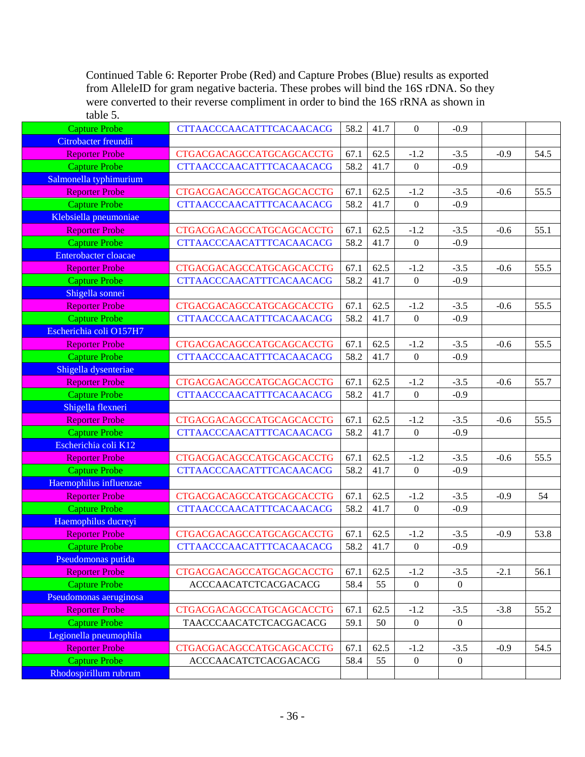Continued Table 6: Reporter Probe (Red) and Capture Probes (Blue) results as exported from AlleleID for gram negative bacteria. These probes will bind the 16S rDNA. So they were converted to their reverse compliment in order to bind the 16S rRNA as shown in table 5.

| <b>Capture Probe</b>    | <b>CTTAACCCAACATTTCACAACACG</b> | 58.2 | 41.7 | $\boldsymbol{0}$ | $-0.9$           |        |      |
|-------------------------|---------------------------------|------|------|------------------|------------------|--------|------|
| Citrobacter freundii    |                                 |      |      |                  |                  |        |      |
| <b>Reporter Probe</b>   | <b>CTGACGACAGCCATGCAGCACCTG</b> | 67.1 | 62.5 | $-1.2$           | $-3.5$           | $-0.9$ | 54.5 |
| <b>Capture Probe</b>    | <b>CTTAACCCAACATTTCACAACACG</b> | 58.2 | 41.7 | $\boldsymbol{0}$ | $-0.9$           |        |      |
| Salmonella typhimurium  |                                 |      |      |                  |                  |        |      |
| Reporter Probe          | <b>CTGACGACAGCCATGCAGCACCTG</b> | 67.1 | 62.5 | $-1.2$           | $-3.5$           | $-0.6$ | 55.5 |
| <b>Capture Probe</b>    | <b>CTTAACCCAACATTTCACAACACG</b> | 58.2 | 41.7 | $\boldsymbol{0}$ | $-0.9$           |        |      |
| Klebsiella pneumoniae   |                                 |      |      |                  |                  |        |      |
| <b>Reporter Probe</b>   | CTGACGACAGCCATGCAGCACCTG        | 67.1 | 62.5 | $-1.2$           | $-3.5$           | $-0.6$ | 55.1 |
| <b>Capture Probe</b>    | <b>CTTAACCCAACATTTCACAACACG</b> | 58.2 | 41.7 | $\boldsymbol{0}$ | $-0.9$           |        |      |
| Enterobacter cloacae    |                                 |      |      |                  |                  |        |      |
| <b>Reporter Probe</b>   | <b>CTGACGACAGCCATGCAGCACCTG</b> | 67.1 | 62.5 | $-1.2$           | $-3.5$           | $-0.6$ | 55.5 |
| <b>Capture Probe</b>    | <b>CTTAACCCAACATTTCACAACACG</b> | 58.2 | 41.7 | $\boldsymbol{0}$ | $-0.9$           |        |      |
| Shigella sonnei         |                                 |      |      |                  |                  |        |      |
| <b>Reporter Probe</b>   | <b>CTGACGACAGCCATGCAGCACCTG</b> | 67.1 | 62.5 | $-1.2$           | $-3.5$           | $-0.6$ | 55.5 |
| <b>Capture Probe</b>    | <b>CTTAACCCAACATTTCACAACACG</b> | 58.2 | 41.7 | $\boldsymbol{0}$ | $-0.9$           |        |      |
| Escherichia coli O157H7 |                                 |      |      |                  |                  |        |      |
| <b>Reporter Probe</b>   | <b>CTGACGACAGCCATGCAGCACCTG</b> | 67.1 | 62.5 | $-1.2$           | $-3.5$           | $-0.6$ | 55.5 |
| <b>Capture Probe</b>    | CTTAACCCAACATTTCACAACACG        | 58.2 | 41.7 | $\boldsymbol{0}$ | $-0.9$           |        |      |
| Shigella dysenteriae    |                                 |      |      |                  |                  |        |      |
| <b>Reporter Probe</b>   | CTGACGACAGCCATGCAGCACCTG        | 67.1 | 62.5 | $-1.2$           | $-3.5$           | $-0.6$ | 55.7 |
| <b>Capture Probe</b>    | <b>CTTAACCCAACATTTCACAACACG</b> | 58.2 | 41.7 | $\boldsymbol{0}$ | $-0.9$           |        |      |
| Shigella flexneri       |                                 |      |      |                  |                  |        |      |
| <b>Reporter Probe</b>   | CTGACGACAGCCATGCAGCACCTG        | 67.1 | 62.5 | $-1.2$           | $-3.5$           | $-0.6$ | 55.5 |
| <b>Capture Probe</b>    | <b>CTTAACCCAACATTTCACAACACG</b> | 58.2 | 41.7 | $\boldsymbol{0}$ | $-0.9$           |        |      |
| Escherichia coli K12    |                                 |      |      |                  |                  |        |      |
| <b>Reporter Probe</b>   | <b>CTGACGACAGCCATGCAGCACCTG</b> | 67.1 | 62.5 | $-1.2$           | $-3.5$           | $-0.6$ | 55.5 |
| <b>Capture Probe</b>    | <b>CTTAACCCAACATTTCACAACACG</b> | 58.2 | 41.7 | $\mathbf{0}$     | $-0.9$           |        |      |
| Haemophilus influenzae  |                                 |      |      |                  |                  |        |      |
| Reporter Probe          | <b>CTGACGACAGCCATGCAGCACCTG</b> | 67.1 | 62.5 | $-1.2$           | $-3.5$           | $-0.9$ | 54   |
| <b>Capture Probe</b>    | <b>CTTAACCCAACATTTCACAACACG</b> | 58.2 | 41.7 | $\boldsymbol{0}$ | $-0.9$           |        |      |
| Haemophilus ducreyi     |                                 |      |      |                  |                  |        |      |
| <b>Reporter Probe</b>   | <b>CTGACGACAGCCATGCAGCACCTG</b> | 67.1 | 62.5 | $-1.2$           | $-3.5$           | $-0.9$ | 53.8 |
| <b>Capture Probe</b>    | <b>CTTAACCCAACATTTCACAACACG</b> | 58.2 | 41.7 | $\boldsymbol{0}$ | $-0.9$           |        |      |
| Pseudomonas putida      |                                 |      |      |                  |                  |        |      |
| <b>Reporter Probe</b>   | <b>CTGACGACAGCCATGCAGCACCTG</b> | 67.1 | 62.5 | $-1.2$           | $-3.5$           | $-2.1$ | 56.1 |
| <b>Capture Probe</b>    | ACCCAACATCTCACGACACG            | 58.4 | 55   | $\boldsymbol{0}$ | $\boldsymbol{0}$ |        |      |
| Pseudomonas aeruginosa  |                                 |      |      |                  |                  |        |      |
| <b>Reporter Probe</b>   | <b>CTGACGACAGCCATGCAGCACCTG</b> | 67.1 | 62.5 | $-1.2$           | $-3.5$           | $-3.8$ | 55.2 |
| <b>Capture Probe</b>    | TAACCCAACATCTCACGACACG          | 59.1 | 50   | $\boldsymbol{0}$ | $\boldsymbol{0}$ |        |      |
| Legionella pneumophila  |                                 |      |      |                  |                  |        |      |
| <b>Reporter Probe</b>   | CTGACGACAGCCATGCAGCACCTG        | 67.1 | 62.5 | $-1.2$           | $-3.5$           | $-0.9$ | 54.5 |
| <b>Capture Probe</b>    | ACCCAACATCTCACGACACG            | 58.4 | 55   | $\boldsymbol{0}$ | $\boldsymbol{0}$ |        |      |
| Rhodospirillum rubrum   |                                 |      |      |                  |                  |        |      |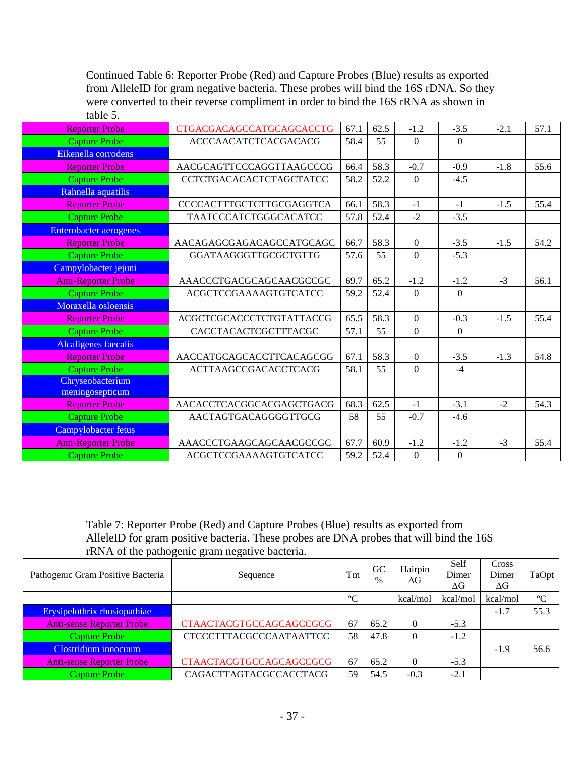Continued Table 6: Reporter Probe (Red) and Capture Probes (Blue) results as exported from AlleleID for gram negative bacteria. These probes will bind the 16S rDNA. So they were converted to their reverse compliment in order to bind the 16S rRNA as shown in table 5.

| <b>Reporter Probe</b>       | <b>CTGACGACAGCCATGCAGCACCTG</b> | 67.1 | 62.5 | $-1.2$           | $-3.5$       | $-2.1$ | 57.1 |
|-----------------------------|---------------------------------|------|------|------------------|--------------|--------|------|
| <b>Capture Probe</b>        | <b>ACCCAACATCTCACGACACG</b>     | 58.4 | 55   | $\Omega$         | $\theta$     |        |      |
| Eikenella corrodens         |                                 |      |      |                  |              |        |      |
| <b>Reporter Probe</b>       | AACGCAGTTCCCAGGTTAAGCCCG        | 66.4 | 58.3 | $-0.7$           | $-0.9$       | $-1.8$ | 55.6 |
| <b>Capture Probe</b>        | <b>CCTCTGACACACTCTAGCTATCC</b>  | 58.2 | 52.2 | $\overline{0}$   | $-4.5$       |        |      |
| Rahnella aquatilis          |                                 |      |      |                  |              |        |      |
| <b>Reporter Probe</b>       | <b>CCCCACTTTGCTCTTGCGAGGTCA</b> | 66.1 | 58.3 | $-1$             | $-1$         | $-1.5$ | 55.4 |
| <b>Capture Probe</b>        | TAATCCCATCTGGGCACATCC           | 57.8 | 52.4 | $-2$             | $-3.5$       |        |      |
| Enterobacter aerogenes      |                                 |      |      |                  |              |        |      |
| <b>Reporter Probe</b>       | AACAGAGCGAGACAGCCATGCAGC        | 66.7 | 58.3 | $\overline{0}$   | $-3.5$       | $-1.5$ | 54.2 |
| <b>Capture Probe</b>        | GGATAAGGGTTGCGCTGTTG            | 57.6 | 55   | $\overline{0}$   | $-5.3$       |        |      |
| Campylobacter jejuni        |                                 |      |      |                  |              |        |      |
| <b>Anti-Reporter Probe</b>  | AAACCCTGACGCAGCAACGCCGC         | 69.7 | 65.2 | $-1.2$           | $-1.2$       | $-3$   | 56.1 |
| <b>Capture Probe</b>        | ACGCTCCGAAAAGTGTCATCC           | 59.2 | 52.4 | $\overline{0}$   | $\mathbf{0}$ |        |      |
| Moraxella osloensis         |                                 |      |      |                  |              |        |      |
| <b>Reporter Probe</b>       | <b>ACGCTCGCACCCTCTGTATTACCG</b> | 65.5 | 58.3 | $\boldsymbol{0}$ | $-0.3$       | $-1.5$ | 55.4 |
| <b>Capture Probe</b>        | CACCTACACTCGCTTTACGC            | 57.1 | 55   | $\mathbf{0}$     | $\mathbf{0}$ |        |      |
| <b>Alcaligenes faecalis</b> |                                 |      |      |                  |              |        |      |
| <b>Reporter Probe</b>       | AACCATGCAGCACCTTCACAGCGG        | 67.1 | 58.3 | $\overline{0}$   | $-3.5$       | $-1.3$ | 54.8 |
| <b>Capture Probe</b>        | <b>ACTTAAGCCGACACCTCACG</b>     | 58.1 | 55   | $\Omega$         | $-4$         |        |      |
| Chryseobacterium            |                                 |      |      |                  |              |        |      |
| meningosepticum             |                                 |      |      |                  |              |        |      |
| <b>Reporter Probe</b>       | AACACCTCACGGCACGAGCTGACG        | 68.3 | 62.5 | $-1$             | $-3.1$       | $-2$   | 54.3 |
| <b>Capture Probe</b>        | AACTAGTGACAGGGGTTGCG            | 58   | 55   | $-0.7$           | $-4.6$       |        |      |
| Campylobacter fetus         |                                 |      |      |                  |              |        |      |
| <b>Anti-Reporter Probe</b>  | AAACCCTGAAGCAGCAACGCCGC         | 67.7 | 60.9 | $-1.2$           | $-1.2$       | $-3$   | 55.4 |
| <b>Capture Probe</b>        | ACGCTCCGAAAAGTGTCATCC           | 59.2 | 52.4 | $\boldsymbol{0}$ | $\theta$     |        |      |

Table 7: Reporter Probe (Red) and Capture Probes (Blue) results as exported from AlleleID for gram positive bacteria. These probes are DNA probes that will bind the 16S rRNA of the pathogenic gram negative bacteria.

| Pathogenic Gram Positive Bacteria | Sequence                       | Tm         | <b>GC</b><br>$\%$ | Hairpin<br>ΔG | Self<br>Dimer<br>$\Delta G$ | Cross<br>Dimer<br>$\Delta G$ | TaOpt       |
|-----------------------------------|--------------------------------|------------|-------------------|---------------|-----------------------------|------------------------------|-------------|
|                                   |                                | $^{\circ}$ |                   | kcal/mol      | kcal/mol                    | kcal/mol                     | $\rm ^{o}C$ |
| Erysipelothrix rhusiopathiae      |                                |            |                   |               |                             | $-1.7$                       | 55.3        |
| <b>Anti-sense Reporter Probe</b>  | <b>CTAACTACGTGCCAGCAGCCGCG</b> | 67         | 65.2              | $\Omega$      | $-5.3$                      |                              |             |
| Capture Probe                     | <b>CTCCCTTTACGCCCAATAATTCC</b> | 58         | 47.8              | $\Omega$      | $-1.2$                      |                              |             |
| Clostridium innocuum              |                                |            |                   |               |                             | $-1.9$                       | 56.6        |
| <b>Anti-sense Reporter Probe</b>  | <b>CTAACTACGTGCCAGCAGCCGCG</b> | 67         | 65.2              | $\Omega$      | $-5.3$                      |                              |             |
| Capture Probe                     | CAGACTTAGTACGCCACCTACG         | 59         | 54.5              | $-0.3$        | $-2.1$                      |                              |             |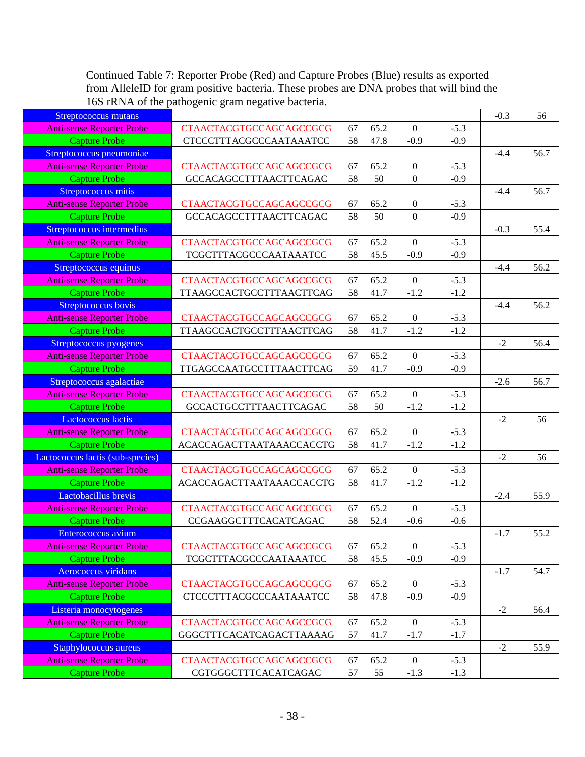Continued Table 7: Reporter Probe (Red) and Capture Probes (Blue) results as exported from AlleleID for gram positive bacteria. These probes are DNA probes that will bind the 16S rRNA of the pathogenic gram negative bacteria.

| Streptococcus mutans             |                                |    |      |                  |        | $-0.3$ | 56   |
|----------------------------------|--------------------------------|----|------|------------------|--------|--------|------|
| <b>Anti-sense Reporter Probe</b> | <b>CTAACTACGTGCCAGCAGCCGCG</b> | 67 | 65.2 | $\mathbf{0}$     | $-5.3$ |        |      |
| <b>Capture Probe</b>             | <b>CTCCCTTTACGCCCAATAAATCC</b> | 58 | 47.8 | $-0.9$           | $-0.9$ |        |      |
| Streptococcus pneumoniae         |                                |    |      |                  |        | $-4.4$ | 56.7 |
| <b>Anti-sense Reporter Probe</b> | <b>CTAACTACGTGCCAGCAGCCGCG</b> | 67 | 65.2 | $\boldsymbol{0}$ | $-5.3$ |        |      |
| <b>Capture Probe</b>             | GCCACAGCCTTTAACTTCAGAC         | 58 | 50   | $\boldsymbol{0}$ | $-0.9$ |        |      |
| Streptococcus mitis              |                                |    |      |                  |        | $-4.4$ | 56.7 |
| <b>Anti-sense Reporter Probe</b> | <b>CTAACTACGTGCCAGCAGCCGCG</b> | 67 | 65.2 | $\boldsymbol{0}$ | $-5.3$ |        |      |
| <b>Capture Probe</b>             | GCCACAGCCTTTAACTTCAGAC         | 58 | 50   | $\boldsymbol{0}$ | $-0.9$ |        |      |
| Streptococcus intermedius        |                                |    |      |                  |        | $-0.3$ | 55.4 |
| Anti-sense Reporter Probe        | <b>CTAACTACGTGCCAGCAGCCGCG</b> | 67 | 65.2 | $\mathbf{0}$     | $-5.3$ |        |      |
| <b>Capture Probe</b>             | TCGCTTTACGCCCAATAAATCC         | 58 | 45.5 | $-0.9$           | $-0.9$ |        |      |
| Streptococcus equinus            |                                |    |      |                  |        | $-4.4$ | 56.2 |
| <b>Anti-sense Reporter Probe</b> | <b>CTAACTACGTGCCAGCAGCCGCG</b> | 67 | 65.2 | $\boldsymbol{0}$ | $-5.3$ |        |      |
| <b>Capture Probe</b>             | TTAAGCCACTGCCTTTAACTTCAG       | 58 | 41.7 | $-1.2$           | $-1.2$ |        |      |
| Streptococcus bovis              |                                |    |      |                  |        | $-4.4$ | 56.2 |
| <b>Anti-sense Reporter Probe</b> | <b>CTAACTACGTGCCAGCAGCCGCG</b> | 67 | 65.2 | $\overline{0}$   | $-5.3$ |        |      |
| <b>Capture Probe</b>             | TTAAGCCACTGCCTTTAACTTCAG       | 58 | 41.7 | $-1.2$           | $-1.2$ |        |      |
| Streptococcus pyogenes           |                                |    |      |                  |        | $-2$   | 56.4 |
| Anti-sense Reporter Probe        | <b>CTAACTACGTGCCAGCAGCCGCG</b> | 67 | 65.2 | $\boldsymbol{0}$ | $-5.3$ |        |      |
| <b>Capture Probe</b>             | TTGAGCCAATGCCTTTAACTTCAG       | 59 | 41.7 | $-0.9$           | $-0.9$ |        |      |
| Streptococcus agalactiae         |                                |    |      |                  |        | $-2.6$ | 56.7 |
| <b>Anti-sense Reporter Probe</b> | <b>CTAACTACGTGCCAGCAGCCGCG</b> | 67 | 65.2 | $\mathbf{0}$     | $-5.3$ |        |      |
| <b>Capture Probe</b>             | GCCACTGCCTTTAACTTCAGAC         | 58 | 50   | $-1.2$           | $-1.2$ |        |      |
| Lactococcus lactis               |                                |    |      |                  |        | $-2$   | 56   |
| <b>Anti-sense Reporter Probe</b> | <b>CTAACTACGTGCCAGCAGCCGCG</b> | 67 | 65.2 | $\mathbf{0}$     | $-5.3$ |        |      |
| <b>Capture Probe</b>             | ACACCAGACTTAATAAACCACCTG       | 58 | 41.7 | $-1.2$           | $-1.2$ |        |      |
| Lactococcus lactis (sub-species) |                                |    |      |                  |        | $-2$   | 56   |
| <b>Anti-sense Reporter Probe</b> | <b>CTAACTACGTGCCAGCAGCCGCG</b> | 67 | 65.2 | $\boldsymbol{0}$ | $-5.3$ |        |      |
| <b>Capture Probe</b>             | ACACCAGACTTAATAAACCACCTG       | 58 | 41.7 | $-1.2$           | $-1.2$ |        |      |
| Lactobacillus brevis             |                                |    |      |                  |        | $-2.4$ | 55.9 |
| <b>Anti-sense Reporter Probe</b> | <b>CTAACTACGTGCCAGCAGCCGCG</b> | 67 | 65.2 | $\mathbf{0}$     | $-5.3$ |        |      |
| <b>Capture Probe</b>             | CCGAAGGCTTTCACATCAGAC          | 58 | 52.4 | $-0.6$           | $-0.6$ |        |      |
| Enterococcus avium               |                                |    |      |                  |        | $-1.7$ | 55.2 |
| <b>Anti-sense Reporter Probe</b> | <b>CTAACTACGTGCCAGCAGCCGCG</b> | 67 | 65.2 | $\mathbf{0}$     | $-5.3$ |        |      |
| <b>Capture Probe</b>             | TCGCTTTACGCCCAATAAATCC         | 58 | 45.5 | $-0.9$           | $-0.9$ |        |      |
| Aerococcus viridans              |                                |    |      |                  |        | $-1.7$ | 54.7 |
| <b>Anti-sense Reporter Probe</b> | <b>CTAACTACGTGCCAGCAGCCGCG</b> | 67 | 65.2 | $\mathbf{0}$     | $-5.3$ |        |      |
| <b>Capture Probe</b>             | <b>CTCCCTTTACGCCCAATAAATCC</b> | 58 | 47.8 | $-0.9$           | $-0.9$ |        |      |
| Listeria monocytogenes           |                                |    |      |                  |        | $-2$   | 56.4 |
| <b>Anti-sense Reporter Probe</b> | <b>CTAACTACGTGCCAGCAGCCGCG</b> | 67 | 65.2 | $\mathbf{0}$     | $-5.3$ |        |      |
| <b>Capture Probe</b>             | GGGCTTTCACATCAGACTTAAAAG       | 57 | 41.7 | $-1.7$           | $-1.7$ |        |      |
| Staphylococcus aureus            |                                |    |      |                  |        | $-2$   | 55.9 |
| <b>Anti-sense Reporter Probe</b> | <b>CTAACTACGTGCCAGCAGCCGCG</b> | 67 | 65.2 | $\boldsymbol{0}$ | $-5.3$ |        |      |
| <b>Capture Probe</b>             | CGTGGGCTTTCACATCAGAC           | 57 | 55   | $-1.3$           | $-1.3$ |        |      |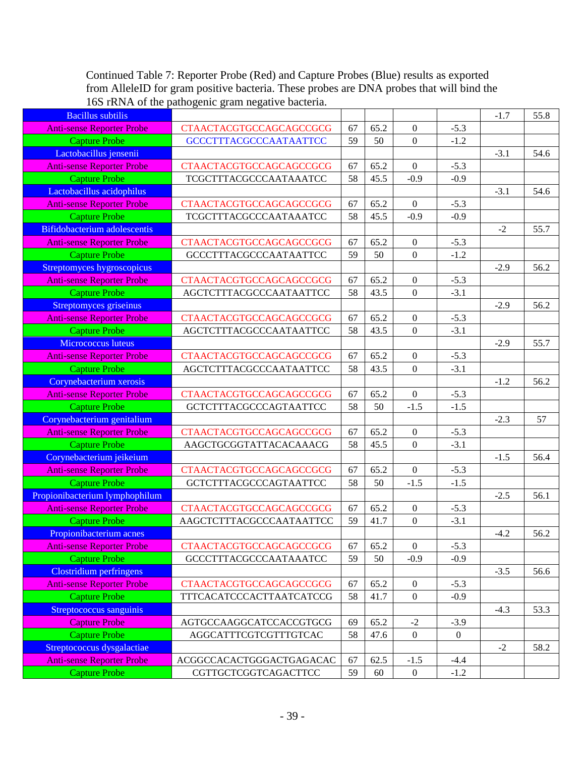Continued Table 7: Reporter Probe (Red) and Capture Probes (Blue) results as exported from AlleleID for gram positive bacteria. These probes are DNA probes that will bind the 16S rRNA of the pathogenic gram negative bacteria.

| <b>Bacillus</b> subtilis                                    |                                                            |          |      |                  |                | $-1.7$ | 55.8 |
|-------------------------------------------------------------|------------------------------------------------------------|----------|------|------------------|----------------|--------|------|
| <b>Anti-sense Reporter Probe</b>                            | <b>CTAACTACGTGCCAGCAGCCGCG</b>                             | 67       | 65.2 | $\boldsymbol{0}$ | $-5.3$         |        |      |
| <b>Capture Probe</b>                                        | <b>GCCCTTTACGCCCAATAATTCC</b>                              | 59       | 50   | $\mathbf{0}$     | $-1.2$         |        |      |
| Lactobacillus jensenii                                      |                                                            |          |      |                  |                | $-3.1$ | 54.6 |
| <b>Anti-sense Reporter Probe</b>                            | <b>CTAACTACGTGCCAGCAGCCGCG</b>                             | 67       | 65.2 | $\boldsymbol{0}$ | $-5.3$         |        |      |
| <b>Capture Probe</b>                                        | TCGCTTTACGCCCAATAAATCC                                     | 58       | 45.5 | $-0.9$           | $-0.9$         |        |      |
| Lactobacillus acidophilus                                   |                                                            |          |      |                  |                | $-3.1$ | 54.6 |
| <b>Anti-sense Reporter Probe</b>                            | <b>CTAACTACGTGCCAGCAGCCGCG</b>                             | 67       | 65.2 | $\mathbf{0}$     | $-5.3$         |        |      |
| <b>Capture Probe</b>                                        | TCGCTTTACGCCCAATAAATCC                                     | 58       | 45.5 | $-0.9$           | $-0.9$         |        |      |
| <b>Bifidobacterium adolescentis</b>                         |                                                            |          |      |                  |                | $-2$   | 55.7 |
| <b>Anti-sense Reporter Probe</b>                            | <b>CTAACTACGTGCCAGCAGCCGCG</b>                             | 67       | 65.2 | $\boldsymbol{0}$ | $-5.3$         |        |      |
| <b>Capture Probe</b>                                        | <b>GCCCTTTACGCCCAATAATTCC</b>                              | 59       | 50   | $\mathbf{0}$     | $-1.2$         |        |      |
| Streptomyces hygroscopicus                                  |                                                            |          |      |                  |                | $-2.9$ | 56.2 |
| <b>Anti-sense Reporter Probe</b>                            | <b>CTAACTACGTGCCAGCAGCCGCG</b>                             | 67       | 65.2 | $\boldsymbol{0}$ | $-5.3$         |        |      |
| <b>Capture Probe</b>                                        | AGCTCTTTACGCCCAATAATTCC                                    | 58       | 43.5 | $\mathbf{0}$     | $-3.1$         |        |      |
| Streptomyces griseinus                                      |                                                            |          |      |                  |                | $-2.9$ | 56.2 |
| <b>Anti-sense Reporter Probe</b>                            | <b>CTAACTACGTGCCAGCAGCCGCG</b>                             | 67       | 65.2 | $\mathbf{0}$     | $-5.3$         |        |      |
| <b>Capture Probe</b>                                        | AGCTCTTTACGCCCAATAATTCC                                    | 58       | 43.5 | $\boldsymbol{0}$ | $-3.1$         |        |      |
| Micrococcus luteus                                          |                                                            |          |      |                  |                | $-2.9$ | 55.7 |
| <b>Anti-sense Reporter Probe</b>                            | <b>CTAACTACGTGCCAGCAGCCGCG</b>                             | 67       | 65.2 | $\boldsymbol{0}$ | $-5.3$         |        |      |
| <b>Capture Probe</b>                                        | AGCTCTTTACGCCCAATAATTCC                                    | 58       | 43.5 | $\mathbf{0}$     | $-3.1$         |        |      |
| Corynebacterium xerosis                                     |                                                            |          |      |                  |                | $-1.2$ | 56.2 |
| <b>Anti-sense Reporter Probe</b>                            | <b>CTAACTACGTGCCAGCAGCCGCG</b>                             | 67       | 65.2 | $\boldsymbol{0}$ | $-5.3$         |        |      |
| <b>Capture Probe</b>                                        | <b>GCTCTTTACGCCCAGTAATTCC</b>                              | 58       | 50   | $-1.5$           | $-1.5$         |        |      |
| Corynebacterium genitalium                                  |                                                            |          |      |                  |                | $-2.3$ | 57   |
| <b>Anti-sense Reporter Probe</b>                            | <b>CTAACTACGTGCCAGCAGCCGCG</b>                             | 67       | 65.2 | $\boldsymbol{0}$ | $-5.3$         |        |      |
| <b>Capture Probe</b>                                        | AAGCTGCGGTATTACACAAACG                                     | 58       | 45.5 | $\overline{0}$   | $-3.1$         |        |      |
| Corynebacterium jeikeium                                    |                                                            |          |      |                  |                | $-1.5$ | 56.4 |
| Anti-sense Reporter Probe                                   | <b>CTAACTACGTGCCAGCAGCCGCG</b>                             | 67       | 65.2 | $\boldsymbol{0}$ | $-5.3$         |        |      |
| <b>Capture Probe</b>                                        | GCTCTTTACGCCCAGTAATTCC                                     | 58       | 50   | $-1.5$           | $-1.5$         |        |      |
| Propionibacterium lymphophilum                              |                                                            |          |      | $\boldsymbol{0}$ |                | $-2.5$ | 56.1 |
| <b>Anti-sense Reporter Probe</b>                            | <b>CTAACTACGTGCCAGCAGCCGCG</b><br>AAGCTCTTTACGCCCAATAATTCC | 67<br>59 | 65.2 |                  | $-5.3$         |        |      |
| <b>Capture Probe</b>                                        |                                                            |          | 41.7 | $\boldsymbol{0}$ | $-3.1$         | $-4.2$ | 56.2 |
| Propionibacterium acnes<br><b>Anti-sense Reporter Probe</b> | <b>CTAACTACGTGCCAGCAGCCGCG</b>                             | 67       | 65.2 | $\mathbf{0}$     | $-5.3$         |        |      |
| <b>Capture Probe</b>                                        | <b>GCCCTTTACGCCCAATAAATCC</b>                              | 59       | 50   | $-0.9$           | $-0.9$         |        |      |
| Clostridium perfringens                                     |                                                            |          |      |                  |                | $-3.5$ | 56.6 |
| <b>Anti-sense Reporter Probe</b>                            | <b>CTAACTACGTGCCAGCAGCCGCG</b>                             | 67       | 65.2 | $\overline{0}$   | $-5.3$         |        |      |
| <b>Capture Probe</b>                                        | TTTCACATCCCACTTAATCATCCG                                   | 58       | 41.7 | $\boldsymbol{0}$ | $-0.9$         |        |      |
| Streptococcus sanguinis                                     |                                                            |          |      |                  |                | $-4.3$ | 53.3 |
| <b>Capture Probe</b>                                        | AGTGCCAAGGCATCCACCGTGCG                                    | 69       | 65.2 | $-2$             | $-3.9$         |        |      |
| Capture Probe                                               | AGGCATTTCGTCGTTTGTCAC                                      | 58       | 47.6 | $\boldsymbol{0}$ | $\overline{0}$ |        |      |
| Streptococcus dysgalactiae                                  |                                                            |          |      |                  |                | $-2$   | 58.2 |
| <b>Anti-sense Reporter Probe</b>                            | ACGGCCACACTGGGACTGAGACAC                                   | 67       | 62.5 | $-1.5$           | $-4.4$         |        |      |
| <b>Capture Probe</b>                                        | CGTTGCTCGGTCAGACTTCC                                       | 59       | 60   | $\boldsymbol{0}$ | $-1.2$         |        |      |
|                                                             |                                                            |          |      |                  |                |        |      |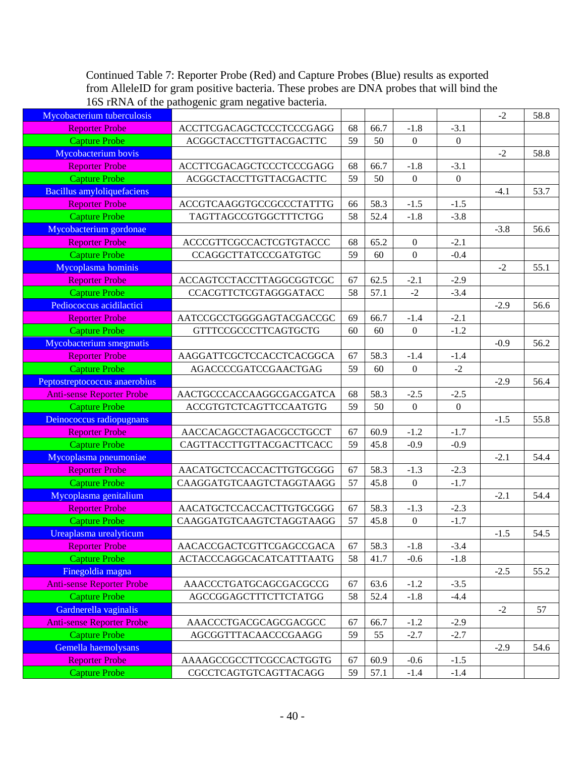Continued Table 7: Reporter Probe (Red) and Capture Probes (Blue) results as exported from AlleleID for gram positive bacteria. These probes are DNA probes that will bind the 16S rRNA of the pathogenic gram negative bacteria.

| Mycobacterium tuberculosis        |                                 |    |      |                  |                  | $-2$   | 58.8 |
|-----------------------------------|---------------------------------|----|------|------------------|------------------|--------|------|
| <b>Reporter Probe</b>             | ACCTTCGACAGCTCCCTCCCGAGG        | 68 | 66.7 | $-1.8$           | $-3.1$           |        |      |
| <b>Capture Probe</b>              | ACGGCTACCTTGTTACGACTTC          | 59 | 50   | $\mathbf{0}$     | $\mathbf{0}$     |        |      |
| Mycobacterium bovis               |                                 |    |      |                  |                  | $-2$   | 58.8 |
| <b>Reporter Probe</b>             | ACCTTCGACAGCTCCCTCCCGAGG        | 68 | 66.7 | $-1.8$           | $-3.1$           |        |      |
| <b>Capture Probe</b>              | ACGGCTACCTTGTTACGACTTC          | 59 | 50   | $\mathbf{0}$     | $\boldsymbol{0}$ |        |      |
| <b>Bacillus amyloliquefaciens</b> |                                 |    |      |                  |                  | $-4.1$ | 53.7 |
| <b>Reporter Probe</b>             | ACCGTCAAGGTGCCGCCCTATTTG        | 66 | 58.3 | $-1.5$           | $-1.5$           |        |      |
| <b>Capture Probe</b>              | TAGTTAGCCGTGGCTTTCTGG           | 58 | 52.4 | $-1.8$           | $-3.8$           |        |      |
| Mycobacterium gordonae            |                                 |    |      |                  |                  | $-3.8$ | 56.6 |
| <b>Reporter Probe</b>             | ACCCGTTCGCCACTCGTGTACCC         | 68 | 65.2 | $\boldsymbol{0}$ | $-2.1$           |        |      |
| <b>Capture Probe</b>              | <b>CCAGGCTTATCCCGATGTGC</b>     | 59 | 60   | $\mathbf{0}$     | $-0.4$           |        |      |
| Mycoplasma hominis                |                                 |    |      |                  |                  | $-2$   | 55.1 |
| <b>Reporter Probe</b>             | ACCAGTCCTACCTTAGGCGGTCGC        | 67 | 62.5 | $-2.1$           | $-2.9$           |        |      |
| <b>Capture Probe</b>              | CCACGTTCTCGTAGGGATACC           | 58 | 57.1 | $-2$             | $-3.4$           |        |      |
| Pediococcus acidilactici          |                                 |    |      |                  |                  | $-2.9$ | 56.6 |
| <b>Reporter Probe</b>             | AATCCGCCTGGGGAGTACGACCGC        | 69 | 66.7 | $-1.4$           | $-2.1$           |        |      |
| <b>Capture Probe</b>              | <b>GTTTCCGCCCTTCAGTGCTG</b>     | 60 | 60   | $\mathbf{0}$     | $-1.2$           |        |      |
| Mycobacterium smegmatis           |                                 |    |      |                  |                  | $-0.9$ | 56.2 |
| <b>Reporter Probe</b>             | AAGGATTCGCTCCACCTCACGGCA        | 67 | 58.3 | $-1.4$           | $-1.4$           |        |      |
| <b>Capture Probe</b>              | AGACCCCGATCCGAACTGAG            | 59 | 60   | $\boldsymbol{0}$ | $-2$             |        |      |
| Peptostreptococcus anaerobius     |                                 |    |      |                  |                  | $-2.9$ | 56.4 |
| <b>Anti-sense Reporter Probe</b>  | AACTGCCCACCAAGGCGACGATCA        | 68 | 58.3 | $-2.5$           | $-2.5$           |        |      |
| <b>Capture Probe</b>              | ACCGTGTCTCAGTTCCAATGTG          | 59 | 50   | $\mathbf{0}$     | $\boldsymbol{0}$ |        |      |
| Deinococcus radiopugnans          |                                 |    |      |                  |                  | $-1.5$ | 55.8 |
| <b>Reporter Probe</b>             | AACCACAGCCTAGACGCCTGCCT         | 67 | 60.9 | $-1.2$           | $-1.7$           |        |      |
| <b>Capture Probe</b>              | CAGTTACCTTGTTACGACTTCACC        | 59 | 45.8 | $-0.9$           | $-0.9$           |        |      |
| Mycoplasma pneumoniae             |                                 |    |      |                  |                  | $-2.1$ | 54.4 |
| <b>Reporter Probe</b>             | AACATGCTCCACCACTTGTGCGGG        | 67 | 58.3 | $-1.3$           | $-2.3$           |        |      |
| <b>Capture Probe</b>              | CAAGGATGTCAAGTCTAGGTAAGG        | 57 | 45.8 | $\boldsymbol{0}$ | $-1.7$           |        |      |
| Mycoplasma genitalium             |                                 |    |      |                  |                  | $-2.1$ | 54.4 |
| <b>Reporter Probe</b>             | AACATGCTCCACCACTTGTGCGGG        | 67 | 58.3 | $-1.3$           | $-2.3$           |        |      |
| <b>Capture Probe</b>              | CAAGGATGTCAAGTCTAGGTAAGG        | 57 | 45.8 | $\boldsymbol{0}$ | $-1.7$           |        |      |
| Ureaplasma urealyticum            |                                 |    |      |                  |                  | $-1.5$ | 54.5 |
| <b>Reporter Probe</b>             | AACACCGACTCGTTCGAGCCGACA        | 67 | 58.3 | $-1.8$           | $-3.4$           |        |      |
| <b>Capture Probe</b>              | <b>ACTACCCAGGCACATCATTTAATG</b> | 58 | 41.7 | $-0.6$           | $-1.8$           |        |      |
| Finegoldia magna                  |                                 |    |      |                  |                  | $-2.5$ | 55.2 |
| <b>Anti-sense Reporter Probe</b>  | AAACCCTGATGCAGCGACGCCG          | 67 | 63.6 | $-1.2$           | $-3.5$           |        |      |
| <b>Capture Probe</b>              | AGCCGGAGCTTTCTTCTATGG           | 58 | 52.4 | $-1.8$           | $-4.4$           |        |      |
| Gardnerella vaginalis             |                                 |    |      |                  |                  | $-2$   | 57   |
| <b>Anti-sense Reporter Probe</b>  | AAACCCTGACGCAGCGACGCC           | 67 | 66.7 | $-1.2$           | $-2.9$           |        |      |
| <b>Capture Probe</b>              | AGCGGTTTACAACCCGAAGG            | 59 | 55   | $-2.7$           | $-2.7$           |        |      |
| Gemella haemolysans               |                                 |    |      |                  |                  | $-2.9$ | 54.6 |
| <b>Reporter Probe</b>             | AAAAGCCGCCTTCGCCACTGGTG         | 67 | 60.9 | $-0.6$           | $-1.5$           |        |      |
| <b>Capture Probe</b>              | CGCCTCAGTGTCAGTTACAGG           | 59 | 57.1 | $-1.4$           | $-1.4$           |        |      |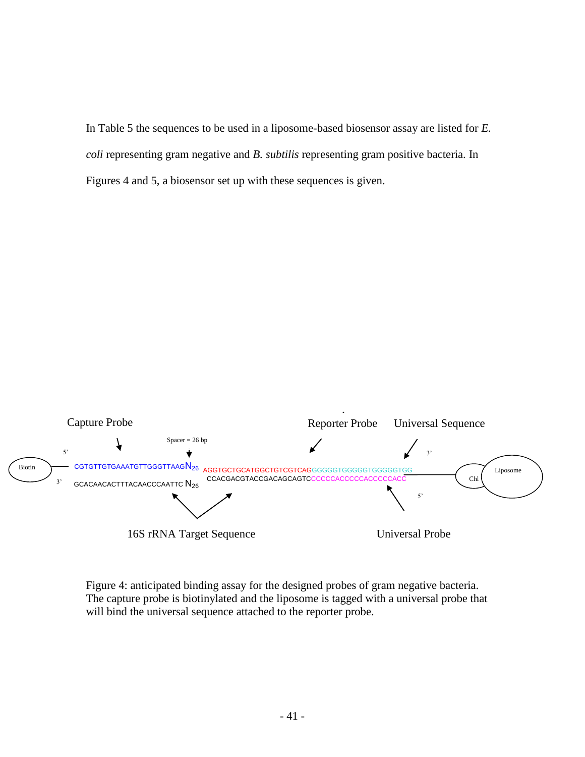In Table 5 the sequences to be used in a liposome-based biosensor assay are listed for *E. coli* representing gram negative and *B. subtilis* representing gram positive bacteria. In Figures 4 and 5, a biosensor set up with these sequences is given.



Figure 4: anticipated binding assay for the designed probes of gram negative bacteria. The capture probe is biotinylated and the liposome is tagged with a universal probe that will bind the universal sequence attached to the reporter probe.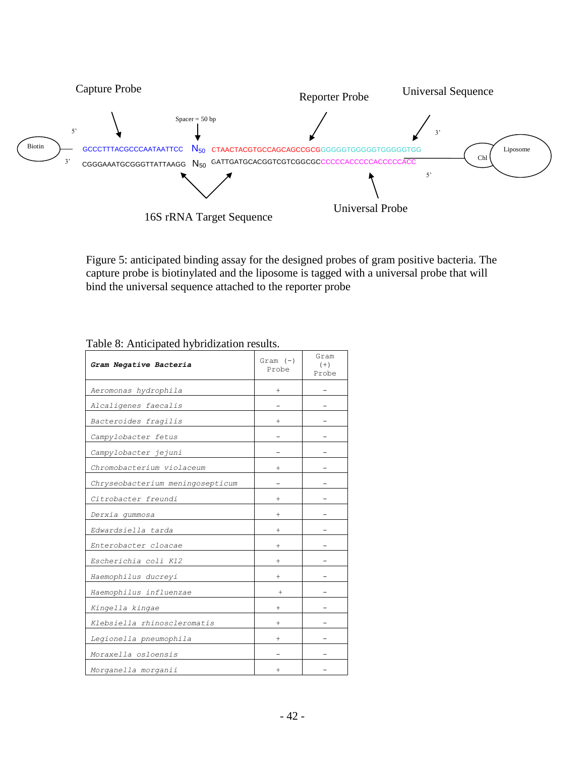

Figure 5: anticipated binding assay for the designed probes of gram positive bacteria. The capture probe is biotinylated and the liposome is tagged with a universal probe that will bind the universal sequence attached to the reporter probe

| Gram Negative Bacteria           | $Gram (-)$<br>Probe | Gram<br>$(+)$<br>Probe |
|----------------------------------|---------------------|------------------------|
| Aeromonas hydrophila             | $^{+}$              |                        |
| Alcaligenes faecalis             |                     |                        |
| Bacteroides fragilis             | $^{+}$              |                        |
| Campylobacter fetus              |                     |                        |
| Campylobacter jejuni             |                     |                        |
| Chromobacterium violaceum        | $\pm$               |                        |
| Chryseobacterium meningosepticum |                     |                        |
| Citrobacter freundi              | $^{+}$              |                        |
| Derxia gummosa                   | $^{+}$              |                        |
| Edwardsiella tarda               | $^+$                |                        |
| Enterobacter cloacae             | $^{+}$              |                        |
| Escherichia coli K12             |                     |                        |
| Haemophilus ducreyi              | $^{+}$              |                        |
| Haemophilus influenzae           | $^+$                |                        |
| Kingella kingae                  | $^{+}$              |                        |
| Klebsiella rhinoscleromatis      | $^{+}$              |                        |
| Legionella pneumophila           | $^{+}$              |                        |
| Moraxella osloensis              |                     |                        |
| Morganella morganii              | $^{+}$              |                        |

### Table 8: Anticipated hybridization results.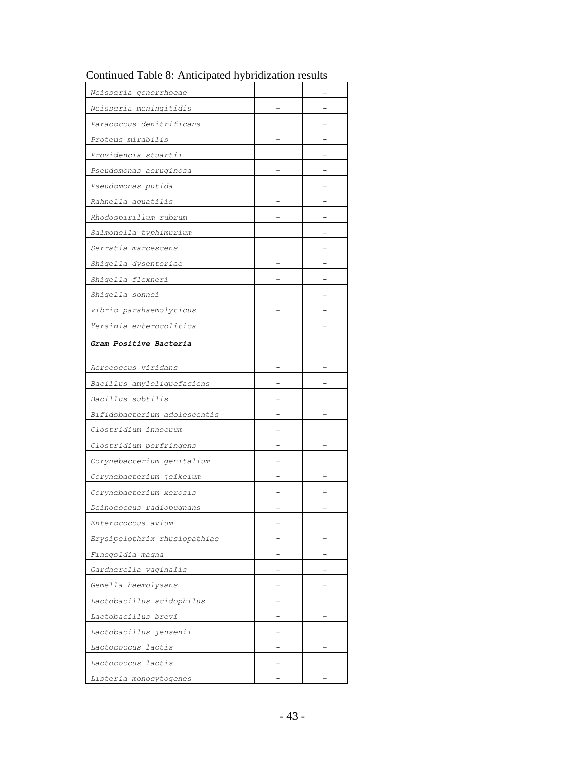| Neisseria gonorrhoeae        | $\,^+$   |                    |
|------------------------------|----------|--------------------|
| Neisseria meningitidis       | $\,^+$   |                    |
| Paracoccus denitrificans     | $\,{}^+$ |                    |
| Proteus mirabilis            | $\,^+$   |                    |
| Providencia stuartii         | $\,^+$   |                    |
| Pseudomonas aeruginosa       | $\,^+$   |                    |
| Pseudomonas putida           | $^+$     |                    |
| Rahnella aquatilis           |          |                    |
| Rhodospirillum rubrum        | $\,+\,$  |                    |
| Salmonella typhimurium       | $\,+\,$  |                    |
| Serratia marcescens          | $^+$     |                    |
| Shigella dysenteriae         | $^{+}$   |                    |
| Shigella flexneri            | $\,^+$   |                    |
| Shigella sonnei              | $\,^+$   |                    |
| Vibrio parahaemolyticus      | $^{+}$   |                    |
| Yersinia enterocolitica      | $\,^+$   |                    |
| Gram Positive Bacteria       |          |                    |
|                              |          |                    |
| Aerococcus viridans          |          | $^+$               |
| Bacillus amyloliquefaciens   |          |                    |
| Bacillus subtilis            |          | $^+$               |
| Bifidobacterium adolescentis |          | $^{+}$             |
| Clostridium innocuum         |          |                    |
| Clostridium perfringens      |          |                    |
| Corynebacterium genitalium   |          |                    |
| Corynebacterium jeikeium     |          | $^+$               |
| Corynebacterium xerosis      |          |                    |
| Deinococcus radiopugnans     |          |                    |
| Enterococcus avium           |          | $^{+}$             |
| Erysipelothrix rhusiopathiae |          | $^{+}$             |
| Finegoldia magna             |          |                    |
| Gardnerella vaginalis        |          |                    |
| Gemella haemolysans          |          |                    |
| Lactobacillus acidophilus    |          | $^{+}$             |
| Lactobacillus brevi          |          | $^{+}$             |
| Lactobacillus jensenii       |          | $^+$               |
| Lactococcus lactis           |          | $^{+}$             |
| Lactococcus lactis           |          | $\hspace{0.1mm} +$ |
| Listeria monocytogenes       |          | $^{+}$             |

Continued Table 8: Anticipated hybridization results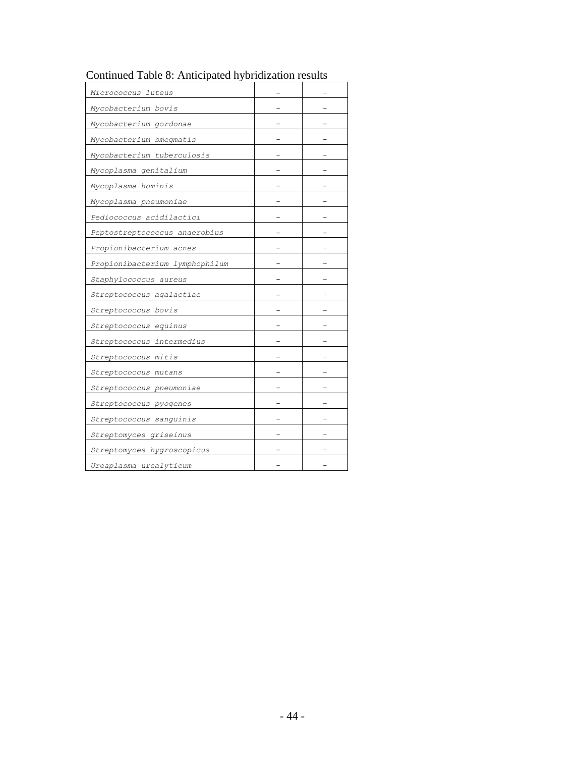| Micrococcus luteus             | $^{+}$             |
|--------------------------------|--------------------|
| Mycobacterium bovis            |                    |
| Mycobacterium gordonae         |                    |
| Mycobacterium smegmatis        |                    |
| Mycobacterium tuberculosis     |                    |
| Mycoplasma genitalium          |                    |
| Mycoplasma hominis             |                    |
| Mycoplasma pneumoniae          |                    |
| Pediococcus acidilactici       |                    |
| Peptostreptococcus anaerobius  |                    |
| Propionibacterium acnes        |                    |
| Propionibacterium lymphophilum |                    |
| Staphylococcus aureus          | $^+$               |
| Streptococcus agalactiae       | $^{+}$             |
| Streptococcus bovis            | $^{+}$             |
| Streptococcus equinus          | $^{+}$             |
| Streptococcus intermedius      | $\hspace{0.1mm} +$ |
| Streptococcus mitis            | $^+$               |
| Streptococcus mutans           | $^+$               |
| Streptococcus pneumoniae       | $^+$               |
| Streptococcus pyogenes         | $^+$               |
| Streptococcus sanguinis        | $^+$               |
| Streptomyces griseinus         | $^{+}$             |
| Streptomyces hygroscopicus     |                    |
| Ureaplasma urealyticum         |                    |

## Continued Table 8: Anticipated hybridization results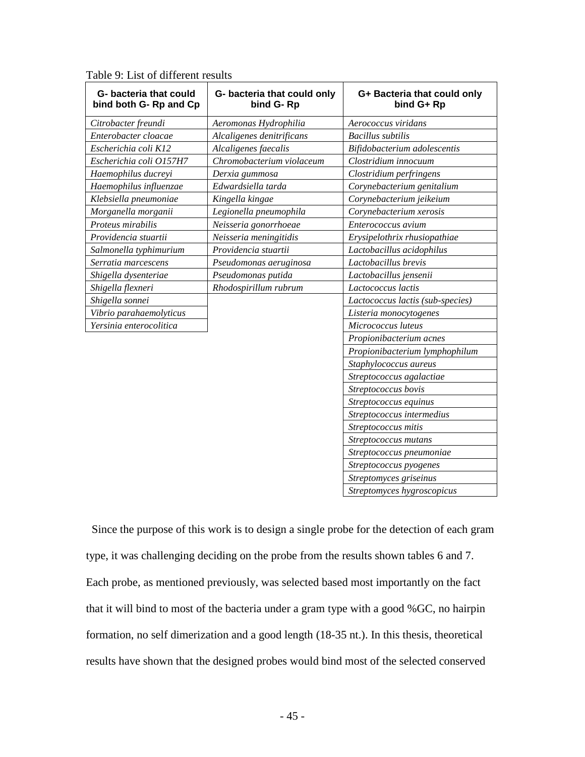| G- bacteria that could<br>bind both G-Rp and Cp | G- bacteria that could only<br>bind G-Rp | G+ Bacteria that could only<br>bind G+ Rp |
|-------------------------------------------------|------------------------------------------|-------------------------------------------|
| Citrobacter freundi                             | Aeromonas Hydrophilia                    | Aerococcus viridans                       |
| Enterobacter cloacae                            | Alcaligenes denitrificans                | <b>Bacillus</b> subtilis                  |
| Escherichia coli K12                            | Alcaligenes faecalis                     | Bifidobacterium adolescentis              |
| Escherichia coli O157H7                         | Chromobacterium violaceum                | Clostridium innocuum                      |
| Haemophilus ducreyi                             | Derxia gummosa                           | Clostridium perfringens                   |
| Haemophilus influenzae                          | Edwardsiella tarda                       | Corynebacterium genitalium                |
| Klebsiella pneumoniae                           | Kingella kingae                          | Corynebacterium jeikeium                  |
| Morganella morganii                             | Legionella pneumophila                   | Corynebacterium xerosis                   |
| Proteus mirabilis                               | Neisseria gonorrhoeae                    | Enterococcus avium                        |
| Providencia stuartii                            | Neisseria meningitidis                   | Erysipelothrix rhusiopathiae              |
| Salmonella typhimurium                          | Providencia stuartii                     | Lactobacillus acidophilus                 |
| Serratia marcescens                             | Pseudomonas aeruginosa                   | Lactobacillus brevis                      |
| Shigella dysenteriae                            | Pseudomonas putida                       | Lactobacillus jensenii                    |
| Shigella flexneri                               | Rhodospirillum rubrum                    | Lactococcus lactis                        |
| Shigella sonnei                                 |                                          | Lactococcus lactis (sub-species)          |
| Vibrio parahaemolyticus                         |                                          | Listeria monocytogenes                    |
| Yersinia enterocolitica                         |                                          | Micrococcus luteus                        |
|                                                 |                                          | Propionibacterium acnes                   |
|                                                 |                                          | Propionibacterium lymphophilum            |
|                                                 |                                          | Staphylococcus aureus                     |
|                                                 |                                          | Streptococcus agalactiae                  |
|                                                 |                                          | Streptococcus bovis                       |
|                                                 |                                          | Streptococcus equinus                     |
|                                                 |                                          | Streptococcus intermedius                 |
|                                                 |                                          | Streptococcus mitis                       |
|                                                 |                                          | Streptococcus mutans                      |
|                                                 |                                          | Streptococcus pneumoniae                  |
|                                                 |                                          | Streptococcus pyogenes                    |
|                                                 |                                          | Streptomyces griseinus                    |
|                                                 |                                          | Streptomyces hygroscopicus                |

Table 9: List of different results

Since the purpose of this work is to design a single probe for the detection of each gram type, it was challenging deciding on the probe from the results shown tables 6 and 7. Each probe, as mentioned previously, was selected based most importantly on the fact that it will bind to most of the bacteria under a gram type with a good %GC, no hairpin formation, no self dimerization and a good length (18-35 nt.). In this thesis, theoretical results have shown that the designed probes would bind most of the selected conserved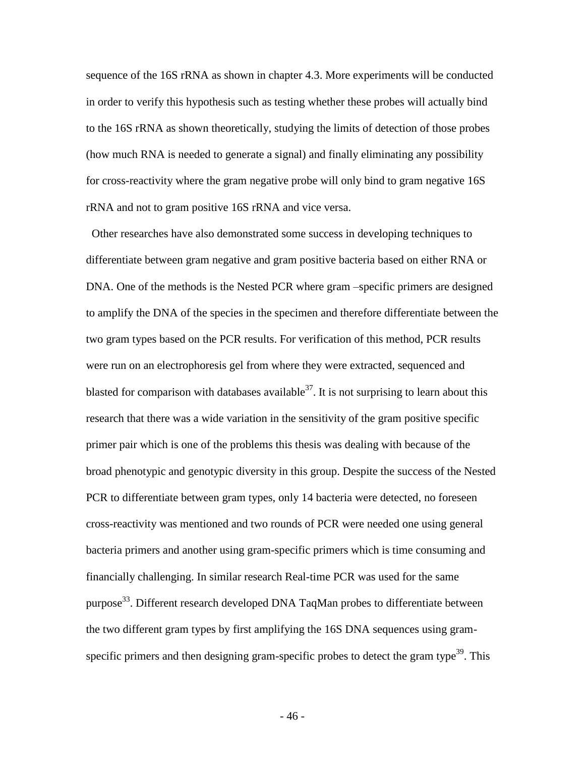sequence of the 16S rRNA as shown in chapter 4.3. More experiments will be conducted in order to verify this hypothesis such as testing whether these probes will actually bind to the 16S rRNA as shown theoretically, studying the limits of detection of those probes (how much RNA is needed to generate a signal) and finally eliminating any possibility for cross-reactivity where the gram negative probe will only bind to gram negative 16S rRNA and not to gram positive 16S rRNA and vice versa.

 Other researches have also demonstrated some success in developing techniques to differentiate between gram negative and gram positive bacteria based on either RNA or DNA. One of the methods is the Nested PCR where gram –specific primers are designed to amplify the DNA of the species in the specimen and therefore differentiate between the two gram types based on the PCR results. For verification of this method, PCR results were run on an electrophoresis gel from where they were extracted, sequenced and blasted for comparison with databases available  $37$ . It is not surprising to learn about this research that there was a wide variation in the sensitivity of the gram positive specific primer pair which is one of the problems this thesis was dealing with because of the broad phenotypic and genotypic diversity in this group. Despite the success of the Nested PCR to differentiate between gram types, only 14 bacteria were detected, no foreseen cross-reactivity was mentioned and two rounds of PCR were needed one using general bacteria primers and another using gram-specific primers which is time consuming and financially challenging. In similar research Real-time PCR was used for the same purpose<sup>33</sup>. Different research developed DNA TaqMan probes to differentiate between the two different gram types by first amplifying the 16S DNA sequences using gramspecific primers and then designing gram-specific probes to detect the gram type<sup>39</sup>. This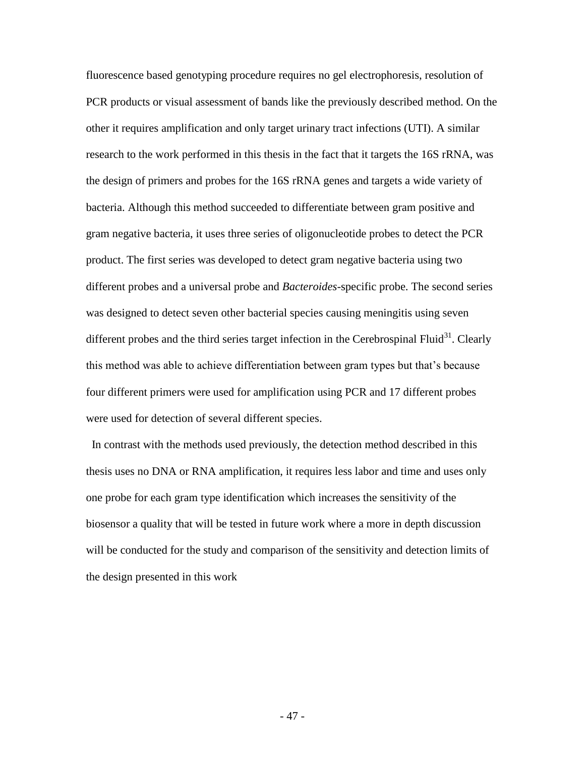fluorescence based genotyping procedure requires no gel electrophoresis, resolution of PCR products or visual assessment of bands like the previously described method. On the other it requires amplification and only target urinary tract infections (UTI). A similar research to the work performed in this thesis in the fact that it targets the 16S rRNA, was the design of primers and probes for the 16S rRNA genes and targets a wide variety of bacteria. Although this method succeeded to differentiate between gram positive and gram negative bacteria, it uses three series of oligonucleotide probes to detect the PCR product. The first series was developed to detect gram negative bacteria using two different probes and a universal probe and *Bacteroides*-specific probe. The second series was designed to detect seven other bacterial species causing meningitis using seven different probes and the third series target infection in the Cerebrospinal Fluid<sup>31</sup>. Clearly this method was able to achieve differentiation between gram types but that's because four different primers were used for amplification using PCR and 17 different probes were used for detection of several different species.

 In contrast with the methods used previously, the detection method described in this thesis uses no DNA or RNA amplification, it requires less labor and time and uses only one probe for each gram type identification which increases the sensitivity of the biosensor a quality that will be tested in future work where a more in depth discussion will be conducted for the study and comparison of the sensitivity and detection limits of the design presented in this work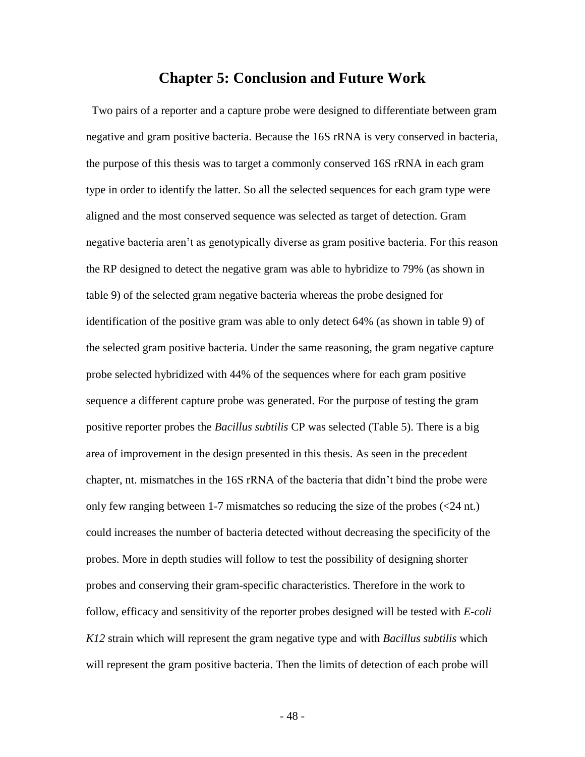## **Chapter 5: Conclusion and Future Work**

 Two pairs of a reporter and a capture probe were designed to differentiate between gram negative and gram positive bacteria. Because the 16S rRNA is very conserved in bacteria, the purpose of this thesis was to target a commonly conserved 16S rRNA in each gram type in order to identify the latter. So all the selected sequences for each gram type were aligned and the most conserved sequence was selected as target of detection. Gram negative bacteria aren't as genotypically diverse as gram positive bacteria. For this reason the RP designed to detect the negative gram was able to hybridize to 79% (as shown in table 9) of the selected gram negative bacteria whereas the probe designed for identification of the positive gram was able to only detect 64% (as shown in table 9) of the selected gram positive bacteria. Under the same reasoning, the gram negative capture probe selected hybridized with 44% of the sequences where for each gram positive sequence a different capture probe was generated. For the purpose of testing the gram positive reporter probes the *Bacillus subtilis* CP was selected (Table 5). There is a big area of improvement in the design presented in this thesis. As seen in the precedent chapter, nt. mismatches in the 16S rRNA of the bacteria that didn't bind the probe were only few ranging between 1-7 mismatches so reducing the size of the probes (<24 nt.) could increases the number of bacteria detected without decreasing the specificity of the probes. More in depth studies will follow to test the possibility of designing shorter probes and conserving their gram-specific characteristics. Therefore in the work to follow, efficacy and sensitivity of the reporter probes designed will be tested with *E-coli K12* strain which will represent the gram negative type and with *Bacillus subtilis* which will represent the gram positive bacteria. Then the limits of detection of each probe will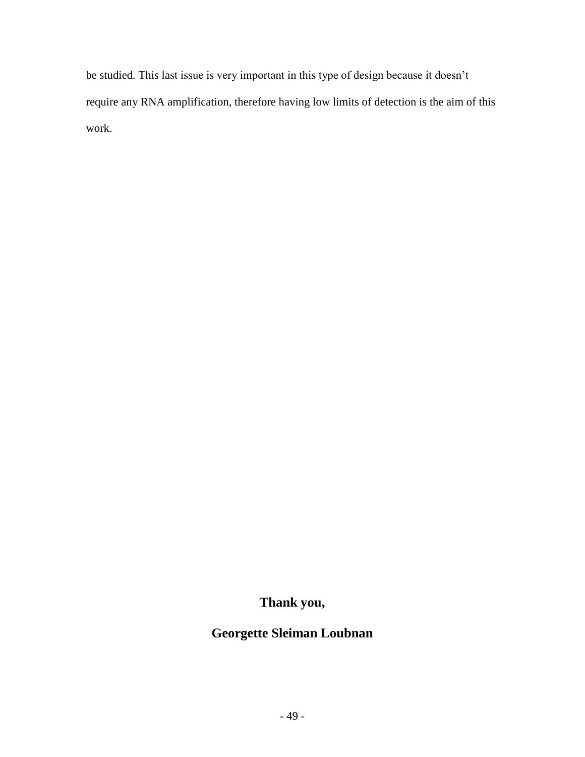be studied. This last issue is very important in this type of design because it doesn't require any RNA amplification, therefore having low limits of detection is the aim of this work.

**Thank you,**

# **Georgette Sleiman Loubnan**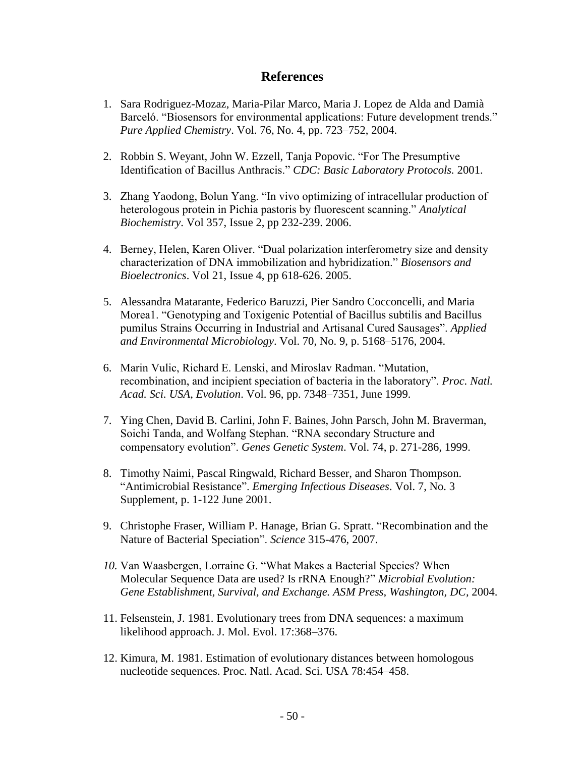## **References**

- 1. Sara Rodriguez-Mozaz, Maria-Pilar Marco, Maria J. Lopez de Alda and Damià Barceló. "Biosensors for environmental applications: Future development trends." *Pure Applied Chemistry*. Vol. 76, No. 4, pp. 723–752, 2004.
- 2. Robbin S. Weyant, John W. Ezzell, Tanja Popovic. "For The Presumptive Identification of Bacillus Anthracis." *CDC: Basic Laboratory Protocols.* 2001.
- 3. Zhang Yaodong, Bolun Yang. "In vivo optimizing of intracellular production of heterologous protein in Pichia pastoris by fluorescent scanning." *Analytical Biochemistry*. Vol 357, Issue 2, pp 232-239. 2006.
- 4. Berney, Helen, Karen Oliver. "Dual polarization interferometry size and density characterization of DNA immobilization and hybridization." *Biosensors and Bioelectronics*. Vol 21, Issue 4, pp 618-626. 2005.
- 5. Alessandra Matarante, Federico Baruzzi, Pier Sandro Cocconcelli, and Maria Morea1. "Genotyping and Toxigenic Potential of Bacillus subtilis and Bacillus pumilus Strains Occurring in Industrial and Artisanal Cured Sausages". *Applied and Environmental Microbiology*. Vol. 70, No. 9, p. 5168–5176, 2004.
- 6. Marin Vulic, Richard E. Lenski, and Miroslav Radman. "Mutation, recombination, and incipient speciation of bacteria in the laboratory". *Proc. Natl. Acad. Sci. USA*, *Evolution*. Vol. 96, pp. 7348–7351, June 1999.
- 7. Ying Chen, David B. Carlini, John F. Baines, John Parsch, John M. Braverman, Soichi Tanda, and Wolfang Stephan. "RNA secondary Structure and compensatory evolution". *Genes Genetic System*. Vol. 74, p. 271-286, 1999.
- 8. Timothy Naimi, Pascal Ringwald, Richard Besser, and Sharon Thompson. "Antimicrobial Resistance". *Emerging Infectious Diseases*. Vol. 7, No. 3 Supplement, p. 1-122 June 2001.
- 9. Christophe Fraser, William P. Hanage, Brian G. Spratt. "Recombination and the Nature of Bacterial Speciation". *Science* 315-476, 2007.
- *10.* Van Waasbergen, Lorraine G. "What Makes a Bacterial Species? When Molecular Sequence Data are used? Is rRNA Enough?" *Microbial Evolution: Gene Establishment, Survival, and Exchange. ASM Press, Washington, DC,* 2004.
- 11. Felsenstein, J. 1981. Evolutionary trees from DNA sequences: a maximum likelihood approach. J. Mol. Evol. 17:368–376.
- 12. Kimura, M. 1981. Estimation of evolutionary distances between homologous nucleotide sequences. Proc. Natl. Acad. Sci. USA 78:454–458.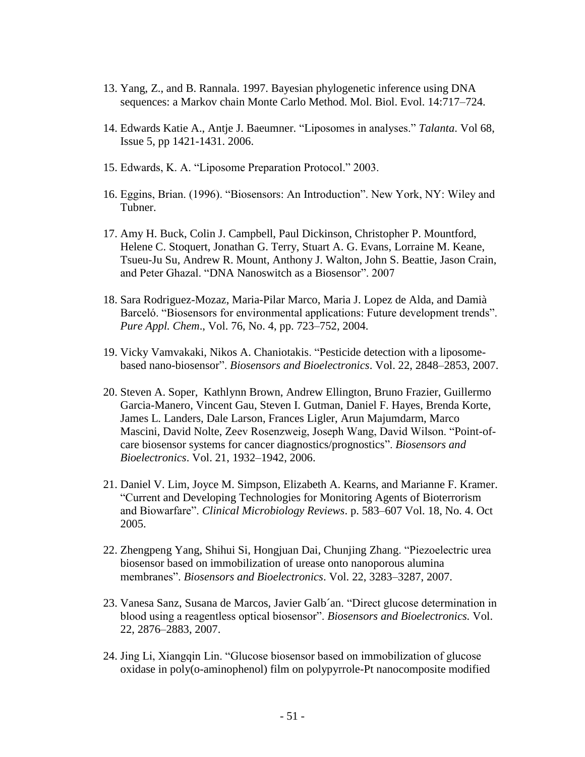- 13. Yang, Z., and B. Rannala. 1997. Bayesian phylogenetic inference using DNA sequences: a Markov chain Monte Carlo Method. Mol. Biol. Evol. 14:717–724.
- 14. Edwards Katie A., Antje J. Baeumner. "Liposomes in analyses." *Talanta*. Vol 68, Issue 5, pp 1421-1431. 2006.
- 15. Edwards, K. A. "Liposome Preparation Protocol." 2003.
- 16. Eggins, Brian. (1996). "Biosensors: An Introduction". New York, NY: Wiley and Tubner.
- 17. Amy H. Buck, Colin J. Campbell, Paul Dickinson, Christopher P. Mountford, Helene C. Stoquert, Jonathan G. Terry, Stuart A. G. Evans, Lorraine M. Keane, Tsueu-Ju Su, Andrew R. Mount, Anthony J. Walton, John S. Beattie, Jason Crain, and Peter Ghazal. "DNA Nanoswitch as a Biosensor". 2007
- 18. Sara Rodriguez-Mozaz, Maria-Pilar Marco, Maria J. Lopez de Alda, and Damià Barceló. "Biosensors for environmental applications: Future development trends". *Pure Appl. Chem*., Vol. 76, No. 4, pp. 723–752, 2004.
- 19. Vicky Vamvakaki, Nikos A. Chaniotakis. "Pesticide detection with a liposomebased nano-biosensor". *Biosensors and Bioelectronics*. Vol. 22, 2848–2853, 2007.
- 20. Steven A. Soper, Kathlynn Brown, Andrew Ellington, Bruno Frazier, Guillermo Garcia-Manero, Vincent Gau, Steven I. Gutman, Daniel F. Hayes, Brenda Korte, James L. Landers, Dale Larson, Frances Ligler, Arun Majumdarm, Marco Mascini, David Nolte, Zeev Rosenzweig, Joseph Wang, David Wilson. "Point-ofcare biosensor systems for cancer diagnostics/prognostics". *Biosensors and Bioelectronics*. Vol. 21, 1932–1942, 2006.
- 21. Daniel V. Lim, Joyce M. Simpson, Elizabeth A. Kearns, and Marianne F. Kramer. "Current and Developing Technologies for Monitoring Agents of Bioterrorism and Biowarfare". *Clinical Microbiology Reviews*. p. 583–607 Vol. 18, No. 4. Oct 2005.
- 22. Zhengpeng Yang, Shihui Si, Hongjuan Dai, Chunjing Zhang. "Piezoelectric urea biosensor based on immobilization of urease onto nanoporous alumina membranes". *Biosensors and Bioelectronics*. Vol. 22, 3283–3287, 2007.
- 23. Vanesa Sanz, Susana de Marcos, Javier Galb´an. "Direct glucose determination in blood using a reagentless optical biosensor". *Biosensors and Bioelectronics.* Vol. 22, 2876–2883, 2007.
- 24. Jing Li, Xiangqin Lin. "Glucose biosensor based on immobilization of glucose oxidase in poly(o-aminophenol) film on polypyrrole-Pt nanocomposite modified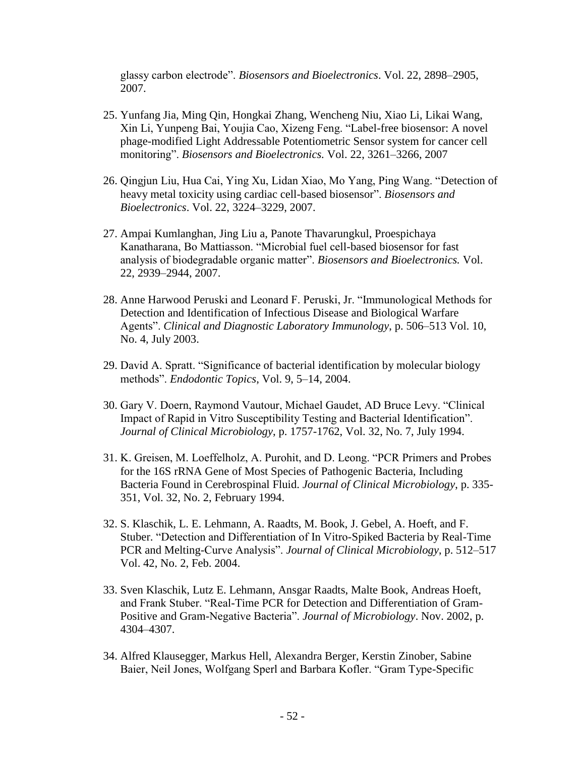glassy carbon electrode". *Biosensors and Bioelectronics*. Vol. 22, 2898–2905, 2007.

- 25. Yunfang Jia, Ming Qin, Hongkai Zhang, Wencheng Niu, Xiao Li, Likai Wang, Xin Li, Yunpeng Bai, Youjia Cao, Xizeng Feng. "Label-free biosensor: A novel phage-modified Light Addressable Potentiometric Sensor system for cancer cell monitoring". *Biosensors and Bioelectronics.* Vol. 22, 3261–3266, 2007
- 26. Qingjun Liu, Hua Cai, Ying Xu, Lidan Xiao, Mo Yang, Ping Wang. "Detection of heavy metal toxicity using cardiac cell-based biosensor". *Biosensors and Bioelectronics*. Vol. 22, 3224–3229, 2007.
- 27. Ampai Kumlanghan, Jing Liu a, Panote Thavarungkul, Proespichaya Kanatharana, Bo Mattiasson. "Microbial fuel cell-based biosensor for fast analysis of biodegradable organic matter". *Biosensors and Bioelectronics.* Vol. 22, 2939–2944, 2007.
- 28. Anne Harwood Peruski and Leonard F. Peruski, Jr. "Immunological Methods for Detection and Identification of Infectious Disease and Biological Warfare Agents". *Clinical and Diagnostic Laboratory Immunology*, p. 506–513 Vol. 10, No. 4, July 2003.
- 29. David A. Spratt. "Significance of bacterial identification by molecular biology methods". *Endodontic Topics*, Vol. 9, 5–14, 2004.
- 30. Gary V. Doern, Raymond Vautour, Michael Gaudet, AD Bruce Levy. "Clinical Impact of Rapid in Vitro Susceptibility Testing and Bacterial Identification". *Journal of Clinical Microbiology*, p. 1757-1762, Vol. 32, No. 7, July 1994.
- 31. K. Greisen, M. Loeffelholz, A. Purohit, and D. Leong. "PCR Primers and Probes for the 16S rRNA Gene of Most Species of Pathogenic Bacteria, Including Bacteria Found in Cerebrospinal Fluid. *Journal of Clinical Microbiology*, p. 335- 351, Vol. 32, No. 2, February 1994.
- 32. S. Klaschik, L. E. Lehmann, A. Raadts, M. Book, J. Gebel, A. Hoeft, and F. Stuber. "Detection and Differentiation of In Vitro-Spiked Bacteria by Real-Time PCR and Melting-Curve Analysis". *Journal of Clinical Microbiology*, p. 512–517 Vol. 42, No. 2, Feb. 2004.
- 33. Sven Klaschik, Lutz E. Lehmann, Ansgar Raadts, Malte Book, Andreas Hoeft, and Frank Stuber. "Real-Time PCR for Detection and Differentiation of Gram-Positive and Gram-Negative Bacteria". *Journal of Microbiology*. Nov. 2002, p. 4304–4307.
- 34. Alfred Klausegger, Markus Hell, Alexandra Berger, Kerstin Zinober, Sabine Baier, Neil Jones, Wolfgang Sperl and Barbara Kofler. "Gram Type-Specific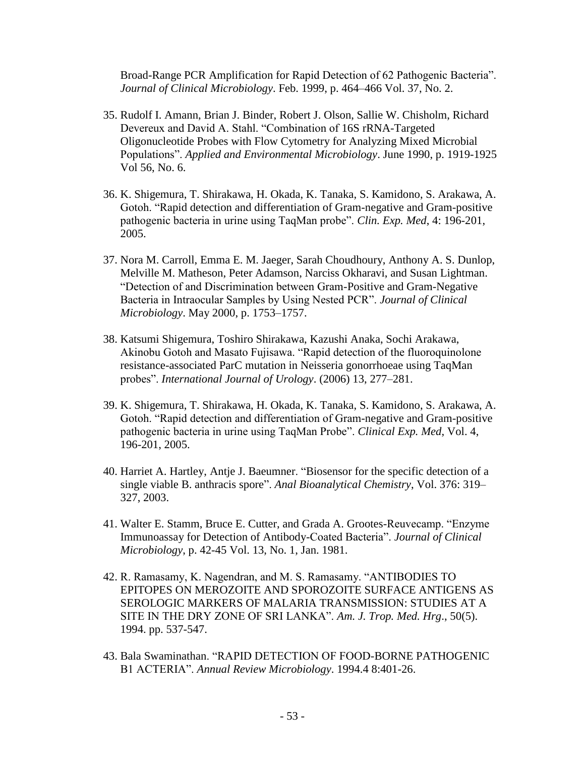Broad-Range PCR Amplification for Rapid Detection of 62 Pathogenic Bacteria". *Journal of Clinical Microbiology*. Feb. 1999, p. 464–466 Vol. 37, No. 2.

- 35. Rudolf I. Amann, Brian J. Binder, Robert J. Olson, Sallie W. Chisholm, Richard Devereux and David A. Stahl. "Combination of 16S rRNA-Targeted Oligonucleotide Probes with Flow Cytometry for Analyzing Mixed Microbial Populations". *Applied and Environmental Microbiology*. June 1990, p. 1919-1925 Vol 56, No. 6.
- 36. K. Shigemura, T. Shirakawa, H. Okada, K. Tanaka, S. Kamidono, S. Arakawa, A. Gotoh. "Rapid detection and differentiation of Gram-negative and Gram-positive pathogenic bacteria in urine using TaqMan probe". *Clin. Exp. Med*, 4: 196-201, 2005.
- 37. Nora M. Carroll, Emma E. M. Jaeger, Sarah Choudhoury, Anthony A. S. Dunlop, Melville M. Matheson, Peter Adamson, Narciss Okharavi, and Susan Lightman. "Detection of and Discrimination between Gram-Positive and Gram-Negative Bacteria in Intraocular Samples by Using Nested PCR". *Journal of Clinical Microbiology*. May 2000, p. 1753–1757.
- 38. Katsumi Shigemura, Toshiro Shirakawa, Kazushi Anaka, Sochi Arakawa, Akinobu Gotoh and Masato Fujisawa. "Rapid detection of the fluoroquinolone resistance-associated ParC mutation in Neisseria gonorrhoeae using TaqMan probes". *International Journal of Urology*. (2006) 13, 277–281.
- 39. K. Shigemura, T. Shirakawa, H. Okada, K. Tanaka, S. Kamidono, S. Arakawa, A. Gotoh. "Rapid detection and differentiation of Gram-negative and Gram-positive pathogenic bacteria in urine using TaqMan Probe". *Clinical Exp. Med*, Vol. 4, 196-201, 2005.
- 40. Harriet A. Hartley, Antje J. Baeumner. "Biosensor for the specific detection of a single viable B. anthracis spore". *Anal Bioanalytical Chemistry*, Vol. 376: 319– 327, 2003.
- 41. Walter E. Stamm, Bruce E. Cutter, and Grada A. Grootes-Reuvecamp. "Enzyme Immunoassay for Detection of Antibody-Coated Bacteria". *Journal of Clinical Microbiology*, p. 42-45 Vol. 13, No. 1, Jan. 1981.
- 42. R. Ramasamy, K. Nagendran, and M. S. Ramasamy. "ANTIBODIES TO EPITOPES ON MEROZOITE AND SPOROZOITE SURFACE ANTIGENS AS SEROLOGIC MARKERS OF MALARIA TRANSMISSION: STUDIES AT A SITE IN THE DRY ZONE OF SRI LANKA". *Am. J. Trop. Med. Hrg*., 50(5). 1994. pp. 537-547.
- 43. Bala Swaminathan. "RAPID DETECTION OF FOOD-BORNE PATHOGENIC B1 ACTERIA". *Annual Review Microbiology*. 1994.4 8:401-26.